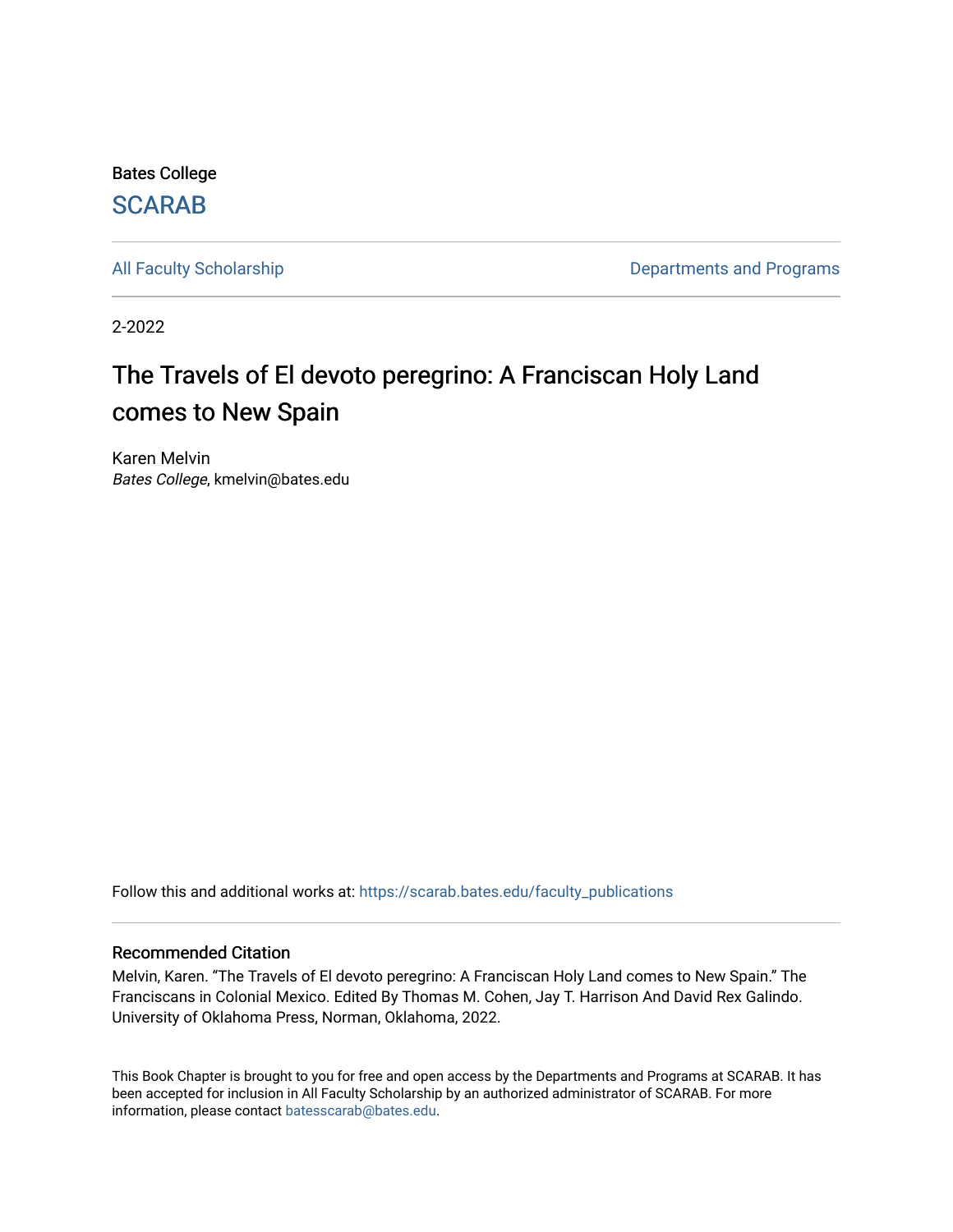Bates College [SCARAB](https://scarab.bates.edu/) 

[All Faculty Scholarship](https://scarab.bates.edu/faculty_publications) **All Faculty Scholarship Departments and Programs** 

2-2022

# The Travels of El devoto peregrino: A Franciscan Holy Land comes to New Spain

Karen Melvin Bates College, kmelvin@bates.edu

Follow this and additional works at: [https://scarab.bates.edu/faculty\\_publications](https://scarab.bates.edu/faculty_publications?utm_source=scarab.bates.edu%2Ffaculty_publications%2F336&utm_medium=PDF&utm_campaign=PDFCoverPages) 

#### Recommended Citation

Melvin, Karen. "The Travels of El devoto peregrino: A Franciscan Holy Land comes to New Spain." The Franciscans in Colonial Mexico. Edited By Thomas M. Cohen, Jay T. Harrison And David Rex Galindo. University of Oklahoma Press, Norman, Oklahoma, 2022.

This Book Chapter is brought to you for free and open access by the Departments and Programs at SCARAB. It has been accepted for inclusion in All Faculty Scholarship by an authorized administrator of SCARAB. For more information, please contact [batesscarab@bates.edu](mailto:batesscarab@bates.edu).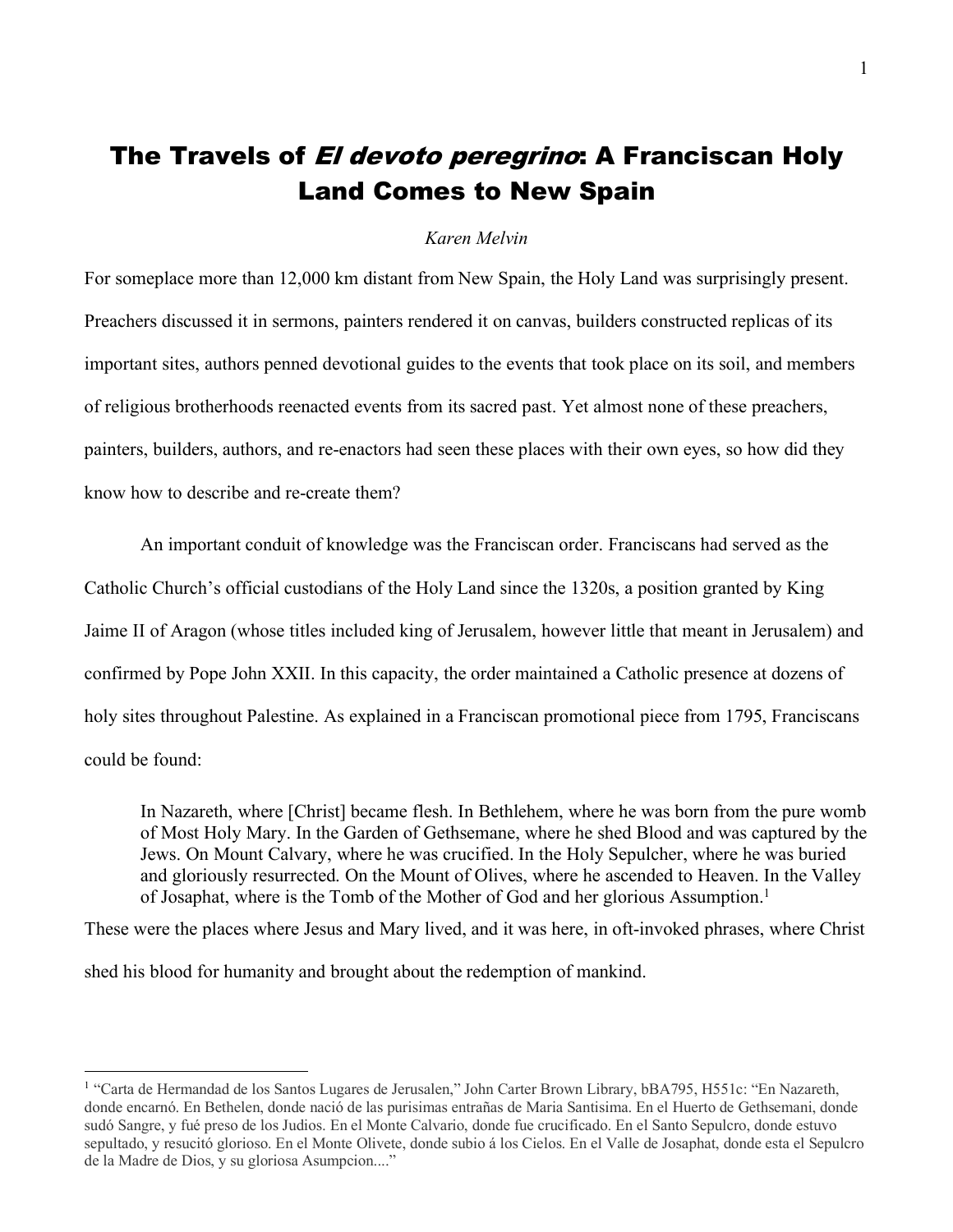# The Travels of *El devoto peregrino*: A Franciscan Holy Land Comes to New Spain

#### *Karen Melvin*

For someplace more than 12,000 km distant from New Spain, the Holy Land was surprisingly present. Preachers discussed it in sermons, painters rendered it on canvas, builders constructed replicas of its important sites, authors penned devotional guides to the events that took place on its soil, and members of religious brotherhoods reenacted events from its sacred past. Yet almost none of these preachers, painters, builders, authors, and re-enactors had seen these places with their own eyes, so how did they know how to describe and re-create them?

An important conduit of knowledge was the Franciscan order. Franciscans had served as the Catholic Church's official custodians of the Holy Land since the 1320s, a position granted by King Jaime II of Aragon (whose titles included king of Jerusalem, however little that meant in Jerusalem) and confirmed by Pope John XXII. In this capacity, the order maintained a Catholic presence at dozens of holy sites throughout Palestine. As explained in a Franciscan promotional piece from 1795, Franciscans could be found:

In Nazareth, where [Christ] became flesh. In Bethlehem, where he was born from the pure womb of Most Holy Mary. In the Garden of Gethsemane, where he shed Blood and was captured by the Jews. On Mount Calvary, where he was crucified. In the Holy Sepulcher, where he was buried and gloriously resurrected. On the Mount of Olives, where he ascended to Heaven. In the Valley of Josaphat, where is the Tomb of the Mother of God and her glorious Assumption.<sup>1</sup>

These were the places where Jesus and Mary lived, and it was here, in oft-invoked phrases, where Christ

shed his blood for humanity and brought about the redemption of mankind.

<sup>1</sup> "Carta de Hermandad de los Santos Lugares de Jerusalen," John Carter Brown Library, bBA795, H551c: "En Nazareth, donde encarnó. En Bethelen, donde nació de las purisimas entrañas de Maria Santisima. En el Huerto de Gethsemani, donde sudó Sangre, y fué preso de los Judios. En el Monte Calvario, donde fue crucificado. En el Santo Sepulcro, donde estuvo sepultado, y resucitó glorioso. En el Monte Olivete, donde subio á los Cielos. En el Valle de Josaphat, donde esta el Sepulcro de la Madre de Dios, y su gloriosa Asumpcion...."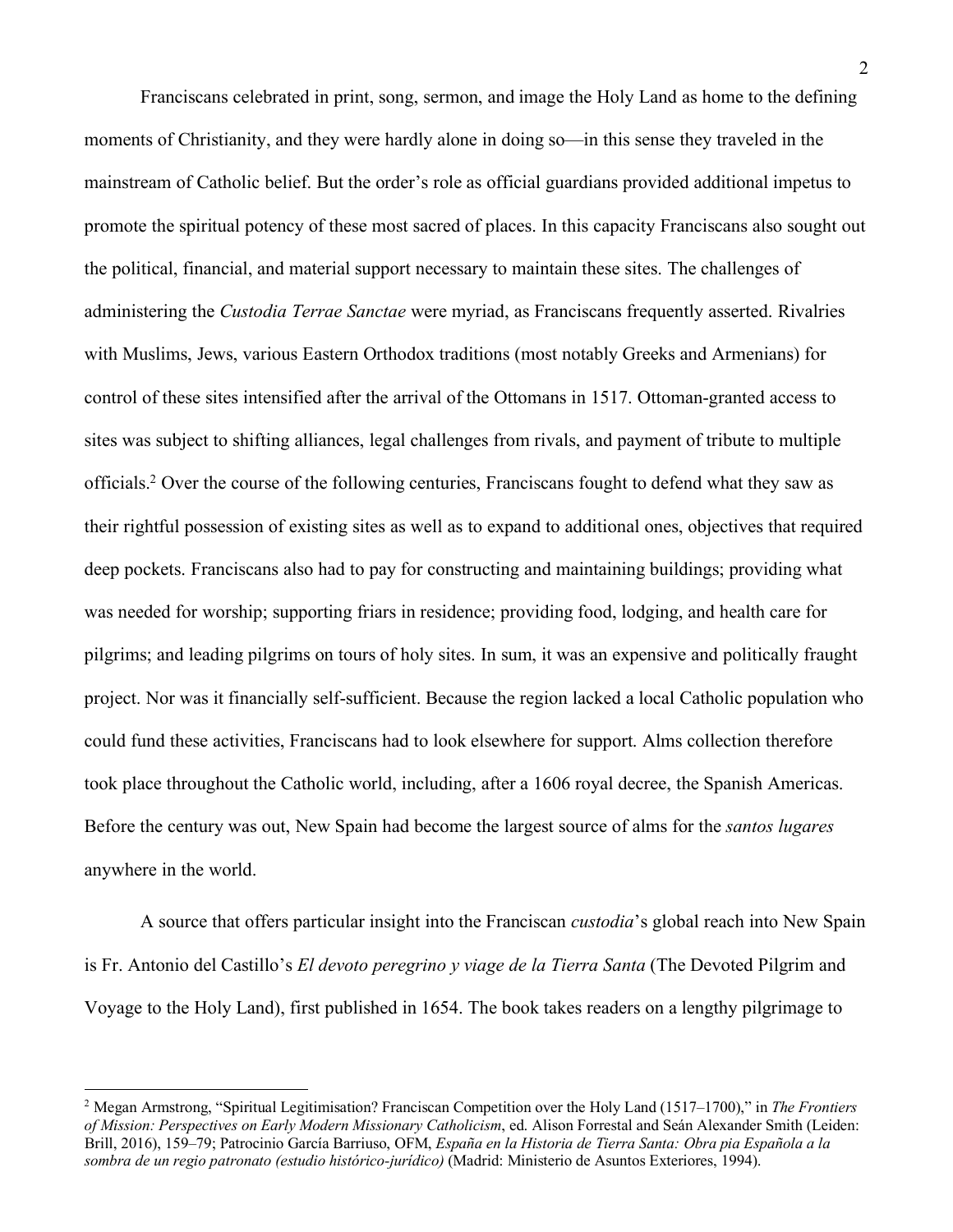Franciscans celebrated in print, song, sermon, and image the Holy Land as home to the defining moments of Christianity, and they were hardly alone in doing so—in this sense they traveled in the mainstream of Catholic belief. But the order's role as official guardians provided additional impetus to promote the spiritual potency of these most sacred of places. In this capacity Franciscans also sought out the political, financial, and material support necessary to maintain these sites. The challenges of administering the *Custodia Terrae Sanctae* were myriad, as Franciscans frequently asserted. Rivalries with Muslims, Jews, various Eastern Orthodox traditions (most notably Greeks and Armenians) for control of these sites intensified after the arrival of the Ottomans in 1517. Ottoman-granted access to sites was subject to shifting alliances, legal challenges from rivals, and payment of tribute to multiple officials.2 Over the course of the following centuries, Franciscans fought to defend what they saw as their rightful possession of existing sites as well as to expand to additional ones, objectives that required deep pockets. Franciscans also had to pay for constructing and maintaining buildings; providing what was needed for worship; supporting friars in residence; providing food, lodging, and health care for pilgrims; and leading pilgrims on tours of holy sites. In sum, it was an expensive and politically fraught project. Nor was it financially self-sufficient. Because the region lacked a local Catholic population who could fund these activities, Franciscans had to look elsewhere for support. Alms collection therefore took place throughout the Catholic world, including, after a 1606 royal decree, the Spanish Americas. Before the century was out, New Spain had become the largest source of alms for the *santos lugares* anywhere in the world.

A source that offers particular insight into the Franciscan *custodia*'s global reach into New Spain is Fr. Antonio del Castillo's *El devoto peregrino y viage de la Tierra Santa* (The Devoted Pilgrim and Voyage to the Holy Land), first published in 1654. The book takes readers on a lengthy pilgrimage to

<sup>2</sup> Megan Armstrong, "Spiritual Legitimisation? Franciscan Competition over the Holy Land (1517–1700)," in *The Frontiers of Mission: Perspectives on Early Modern Missionary Catholicism*, ed. Alison Forrestal and Seán Alexander Smith (Leiden: Brill, 2016), 159–79; Patrocinio García Barriuso, OFM, *España en la Historia de Tierra Santa: Obra pia Española a la sombra de un regio patronato (estudio histórico-jurídico)* (Madrid: Ministerio de Asuntos Exteriores, 1994).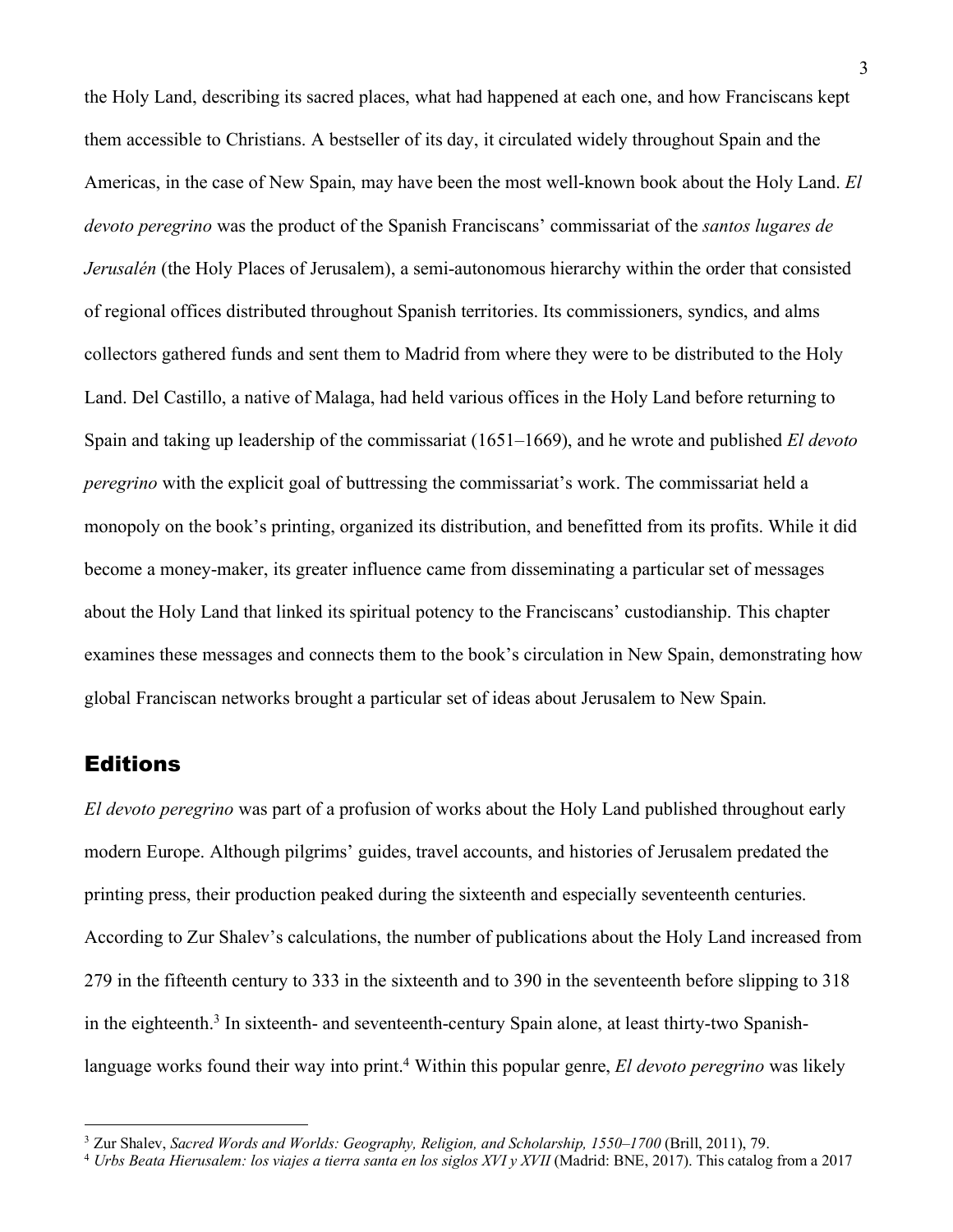the Holy Land, describing its sacred places, what had happened at each one, and how Franciscans kept them accessible to Christians. A bestseller of its day, it circulated widely throughout Spain and the Americas, in the case of New Spain, may have been the most well-known book about the Holy Land. *El devoto peregrino* was the product of the Spanish Franciscans' commissariat of the *santos lugares de Jerusalén* (the Holy Places of Jerusalem), a semi-autonomous hierarchy within the order that consisted of regional offices distributed throughout Spanish territories. Its commissioners, syndics, and alms collectors gathered funds and sent them to Madrid from where they were to be distributed to the Holy Land. Del Castillo, a native of Malaga, had held various offices in the Holy Land before returning to Spain and taking up leadership of the commissariat (1651–1669), and he wrote and published *El devoto peregrino* with the explicit goal of buttressing the commissariat's work. The commissariat held a monopoly on the book's printing, organized its distribution, and benefitted from its profits. While it did become a money-maker, its greater influence came from disseminating a particular set of messages about the Holy Land that linked its spiritual potency to the Franciscans' custodianship. This chapter examines these messages and connects them to the book's circulation in New Spain, demonstrating how global Franciscan networks brought a particular set of ideas about Jerusalem to New Spain.

### Editions

*El devoto peregrino* was part of a profusion of works about the Holy Land published throughout early modern Europe. Although pilgrims' guides, travel accounts, and histories of Jerusalem predated the printing press, their production peaked during the sixteenth and especially seventeenth centuries. According to Zur Shalev's calculations, the number of publications about the Holy Land increased from 279 in the fifteenth century to 333 in the sixteenth and to 390 in the seventeenth before slipping to 318 in the eighteenth.<sup>3</sup> In sixteenth- and seventeenth-century Spain alone, at least thirty-two Spanishlanguage works found their way into print.<sup>4</sup> Within this popular genre, *El devoto peregrino* was likely

<sup>3</sup> Zur Shalev, *Sacred Words and Worlds: Geography, Religion, and Scholarship, 1550–1700* (Brill, 2011), 79.

<sup>4</sup> *Urbs Beata Hierusalem: los viajes a tierra santa en los siglos XVI y XVII* (Madrid: BNE, 2017). This catalog from a 2017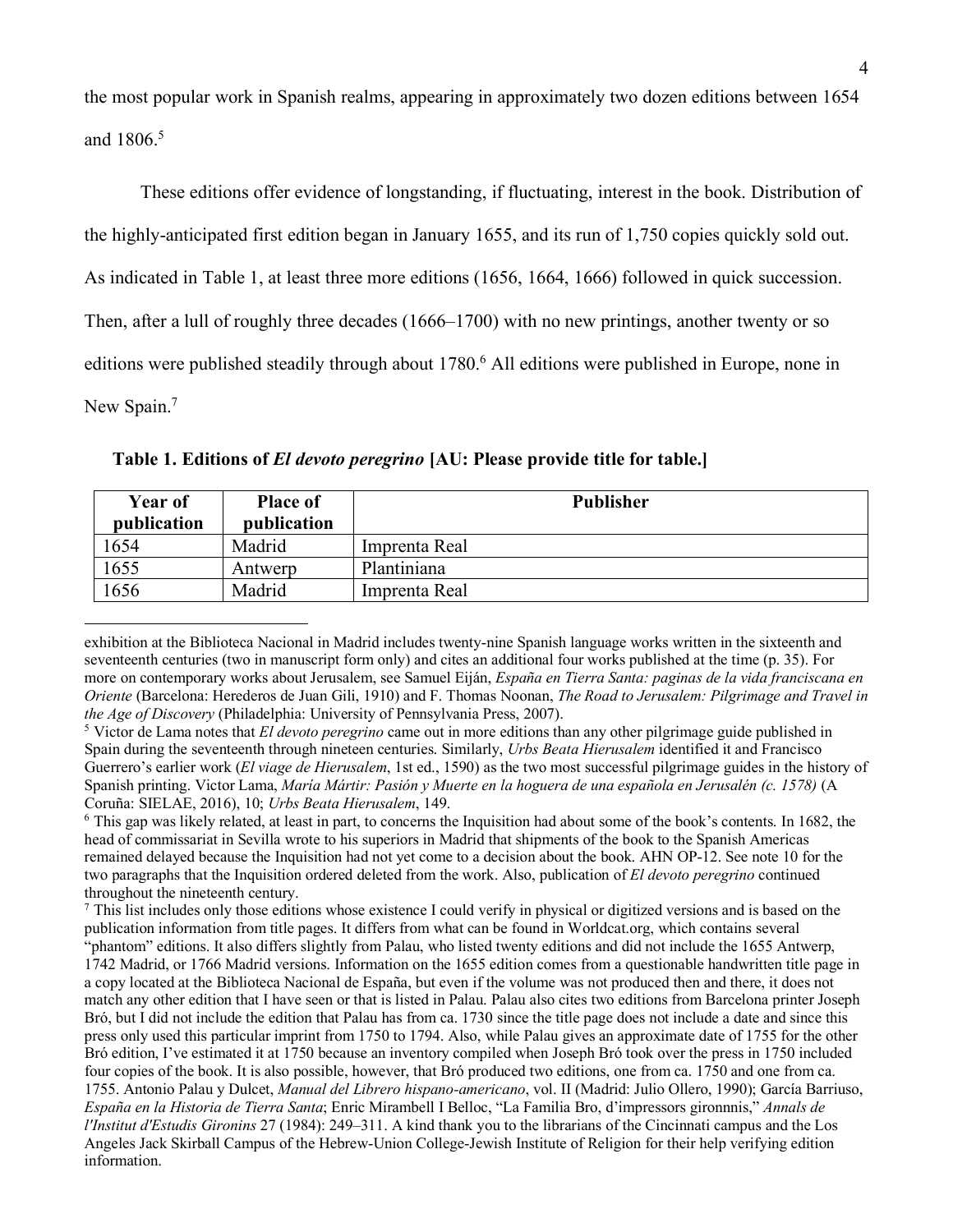the most popular work in Spanish realms, appearing in approximately two dozen editions between 1654 and 1806<sup>5</sup>

These editions offer evidence of longstanding, if fluctuating, interest in the book. Distribution of the highly-anticipated first edition began in January 1655, and its run of 1,750 copies quickly sold out. As indicated in Table 1, at least three more editions (1656, 1664, 1666) followed in quick succession. Then, after a lull of roughly three decades (1666–1700) with no new printings, another twenty or so editions were published steadily through about 1780.<sup>6</sup> All editions were published in Europe, none in New Spain.<sup>7</sup>

| <b>Year of</b><br>publication | <b>Place of</b><br>publication | <b>Publisher</b> |
|-------------------------------|--------------------------------|------------------|
| 1654                          | Madrid                         | Imprenta Real    |
| 1655                          | Antwerp                        | Plantiniana      |
| 1656                          | Madrid                         | Imprenta Real    |

**Table 1. Editions of** *El devoto peregrino* **[AU: Please provide title for table.]**

<sup>6</sup> This gap was likely related, at least in part, to concerns the Inquisition had about some of the book's contents. In 1682, the head of commissariat in Sevilla wrote to his superiors in Madrid that shipments of the book to the Spanish Americas remained delayed because the Inquisition had not yet come to a decision about the book. AHN OP-12. See note 10 for the two paragraphs that the Inquisition ordered deleted from the work. Also, publication of *El devoto peregrino* continued throughout the nineteenth century.

<sup>7</sup> This list includes only those editions whose existence I could verify in physical or digitized versions and is based on the publication information from title pages. It differs from what can be found in Worldcat.org, which contains several "phantom" editions. It also differs slightly from Palau, who listed twenty editions and did not include the 1655 Antwerp, 1742 Madrid, or 1766 Madrid versions. Information on the 1655 edition comes from a questionable handwritten title page in a copy located at the Biblioteca Nacional de España, but even if the volume was not produced then and there, it does not match any other edition that I have seen or that is listed in Palau. Palau also cites two editions from Barcelona printer Joseph Bró, but I did not include the edition that Palau has from ca. 1730 since the title page does not include a date and since this press only used this particular imprint from 1750 to 1794. Also, while Palau gives an approximate date of 1755 for the other Bró edition, I've estimated it at 1750 because an inventory compiled when Joseph Bró took over the press in 1750 included four copies of the book. It is also possible, however, that Bró produced two editions, one from ca. 1750 and one from ca. 1755. Antonio Palau y Dulcet, *Manual del Librero hispano-americano*, vol. II (Madrid: Julio Ollero, 1990); García Barriuso, *España en la Historia de Tierra Santa*; Enric Mirambell I Belloc, "La Familia Bro, d'impressors gironnnis," *Annals de l'Institut d'Estudis Gironins* 27 (1984): 249–311. A kind thank you to the librarians of the Cincinnati campus and the Los Angeles Jack Skirball Campus of the Hebrew-Union College-Jewish Institute of Religion for their help verifying edition information.

exhibition at the Biblioteca Nacional in Madrid includes twenty-nine Spanish language works written in the sixteenth and seventeenth centuries (two in manuscript form only) and cites an additional four works published at the time (p. 35). For more on contemporary works about Jerusalem, see Samuel Eiján, *España en Tierra Santa: paginas de la vida franciscana en Oriente* (Barcelona: Herederos de Juan Gili, 1910) and F. Thomas Noonan, *The Road to Jerusalem: Pilgrimage and Travel in the Age of Discovery* (Philadelphia: University of Pennsylvania Press, 2007).

<sup>5</sup> Victor de Lama notes that *El devoto peregrino* came out in more editions than any other pilgrimage guide published in Spain during the seventeenth through nineteen centuries. Similarly, *Urbs Beata Hierusalem* identified it and Francisco Guerrero's earlier work (*El viage de Hierusalem*, 1st ed., 1590) as the two most successful pilgrimage guides in the history of Spanish printing. Victor Lama, *María Mártir: Pasión y Muerte en la hoguera de una española en Jerusalén (c. 1578)* (A Coruña: SIELAE, 2016), 10; *Urbs Beata Hierusalem*, 149.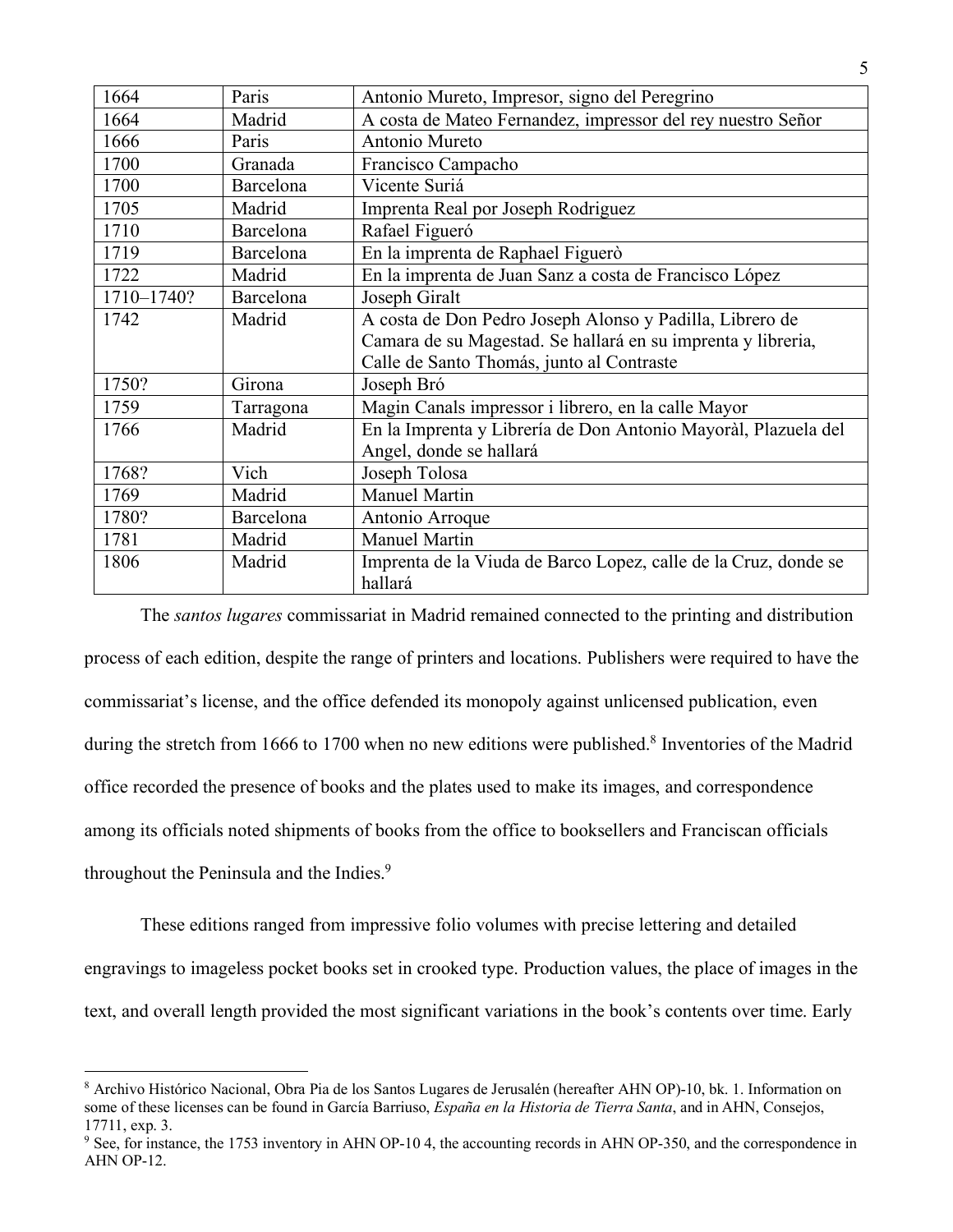| 1664       | Paris     | Antonio Mureto, Impresor, signo del Peregrino                              |
|------------|-----------|----------------------------------------------------------------------------|
| 1664       | Madrid    | A costa de Mateo Fernandez, impressor del rey nuestro Señor                |
| 1666       | Paris     | Antonio Mureto                                                             |
| 1700       | Granada   | Francisco Campacho                                                         |
| 1700       | Barcelona | Vicente Suriá                                                              |
| 1705       | Madrid    | Imprenta Real por Joseph Rodriguez                                         |
| 1710       | Barcelona | Rafael Figueró                                                             |
| 1719       | Barcelona | En la imprenta de Raphael Figuerò                                          |
| 1722       | Madrid    | En la imprenta de Juan Sanz a costa de Francisco López                     |
| 1710-1740? | Barcelona | Joseph Giralt                                                              |
| 1742       | Madrid    | A costa de Don Pedro Joseph Alonso y Padilla, Librero de                   |
|            |           | Camara de su Magestad. Se hallará en su imprenta y libreria,               |
|            |           | Calle de Santo Thomás, junto al Contraste                                  |
| 1750?      | Girona    | Joseph Bró                                                                 |
| 1759       | Tarragona | Magin Canals impressor i librero, en la calle Mayor                        |
| 1766       | Madrid    | En la Imprenta y Librería de Don Antonio Mayoràl, Plazuela del             |
|            |           | Angel, donde se hallará                                                    |
| 1768?      | Vich      | Joseph Tolosa                                                              |
| 1769       | Madrid    | <b>Manuel Martin</b>                                                       |
| 1780?      | Barcelona | Antonio Arroque                                                            |
| 1781       | Madrid    | <b>Manuel Martin</b>                                                       |
| 1806       | Madrid    | Imprenta de la Viuda de Barco Lopez, calle de la Cruz, donde se<br>hallará |

The *santos lugares* commissariat in Madrid remained connected to the printing and distribution process of each edition, despite the range of printers and locations. Publishers were required to have the commissariat's license, and the office defended its monopoly against unlicensed publication, even during the stretch from 1666 to 1700 when no new editions were published.<sup>8</sup> Inventories of the Madrid office recorded the presence of books and the plates used to make its images, and correspondence among its officials noted shipments of books from the office to booksellers and Franciscan officials throughout the Peninsula and the Indies.<sup>9</sup>

These editions ranged from impressive folio volumes with precise lettering and detailed engravings to imageless pocket books set in crooked type. Production values, the place of images in the text, and overall length provided the most significant variations in the book's contents over time. Early

<sup>8</sup> Archivo Histórico Nacional, Obra Pia de los Santos Lugares de Jerusalén (hereafter AHN OP)-10, bk. 1. Information on some of these licenses can be found in García Barriuso, *España en la Historia de Tierra Santa*, and in AHN, Consejos, 17711, exp. 3.

<sup>9</sup> See, for instance, the 1753 inventory in AHN OP-10 4, the accounting records in AHN OP-350, and the correspondence in AHN OP-12.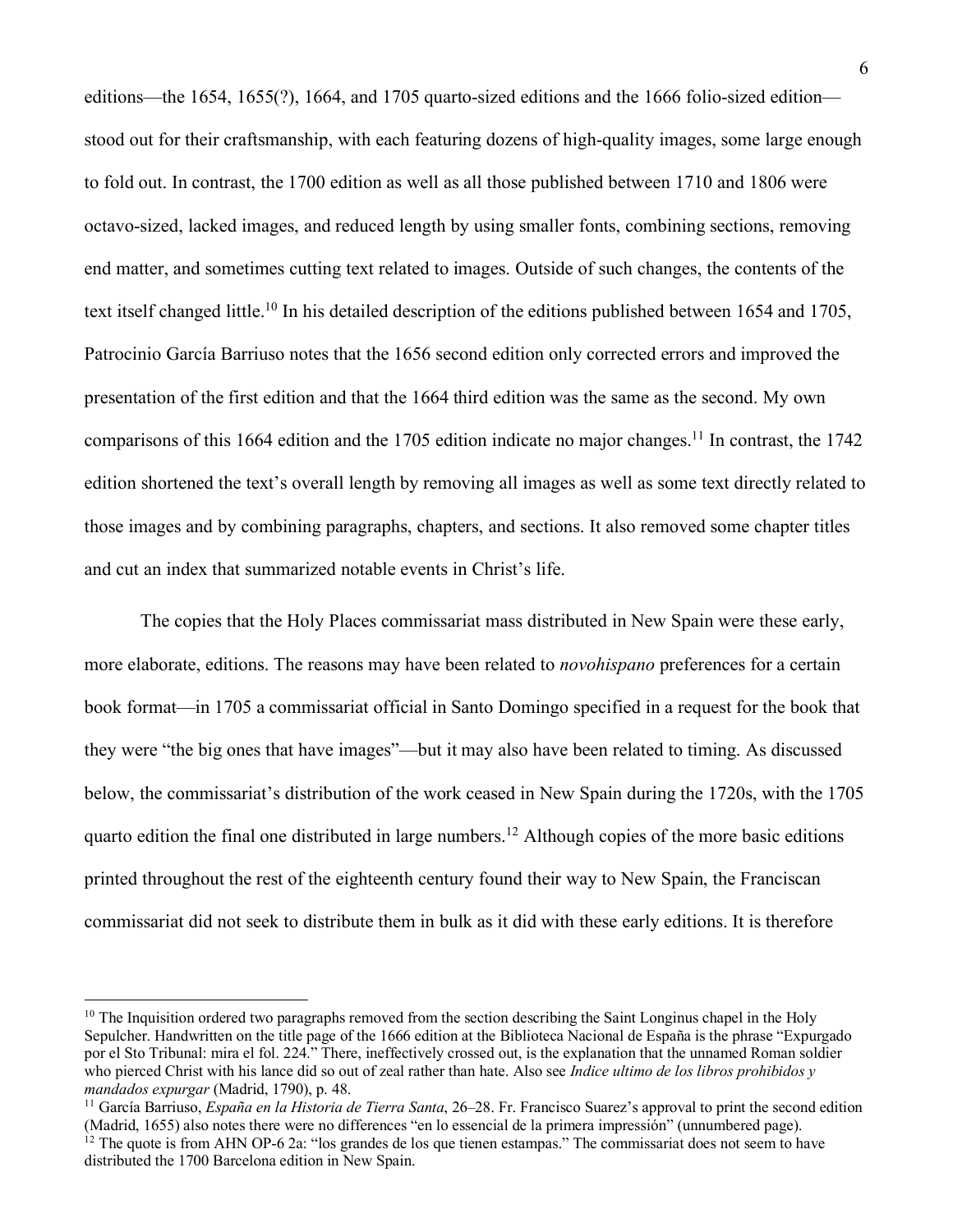editions—the 1654, 1655(?), 1664, and 1705 quarto-sized editions and the 1666 folio-sized edition stood out for their craftsmanship, with each featuring dozens of high-quality images, some large enough to fold out. In contrast, the 1700 edition as well as all those published between 1710 and 1806 were octavo-sized, lacked images, and reduced length by using smaller fonts, combining sections, removing end matter, and sometimes cutting text related to images. Outside of such changes, the contents of the text itself changed little.10 In his detailed description of the editions published between 1654 and 1705, Patrocinio García Barriuso notes that the 1656 second edition only corrected errors and improved the presentation of the first edition and that the 1664 third edition was the same as the second. My own comparisons of this 1664 edition and the 1705 edition indicate no major changes.<sup>11</sup> In contrast, the 1742 edition shortened the text's overall length by removing all images as well as some text directly related to those images and by combining paragraphs, chapters, and sections. It also removed some chapter titles and cut an index that summarized notable events in Christ's life.

The copies that the Holy Places commissariat mass distributed in New Spain were these early, more elaborate, editions. The reasons may have been related to *novohispano* preferences for a certain book format—in 1705 a commissariat official in Santo Domingo specified in a request for the book that they were "the big ones that have images"—but it may also have been related to timing. As discussed below, the commissariat's distribution of the work ceased in New Spain during the 1720s, with the 1705 quarto edition the final one distributed in large numbers.12 Although copies of the more basic editions printed throughout the rest of the eighteenth century found their way to New Spain, the Franciscan commissariat did not seek to distribute them in bulk as it did with these early editions. It is therefore

<sup>&</sup>lt;sup>10</sup> The Inquisition ordered two paragraphs removed from the section describing the Saint Longinus chapel in the Holy Sepulcher. Handwritten on the title page of the 1666 edition at the Biblioteca Nacional de España is the phrase "Expurgado por el Sto Tribunal: mira el fol. 224." There, ineffectively crossed out, is the explanation that the unnamed Roman soldier who pierced Christ with his lance did so out of zeal rather than hate. Also see *Indice ultimo de los libros prohibidos* y *mandados expurgar* (Madrid, 1790), p. 48.

<sup>11</sup> García Barriuso, *España en la Historia de Tierra Santa*, 26–28. Fr. Francisco Suarez's approval to print the second edition (Madrid, 1655) also notes there were no differences "en lo essencial de la primera impressión" (unnumbered page). <sup>12</sup> The quote is from AHN OP-6 2a: "los grandes de los que tienen estampas." The commissariat does not seem to have distributed the 1700 Barcelona edition in New Spain.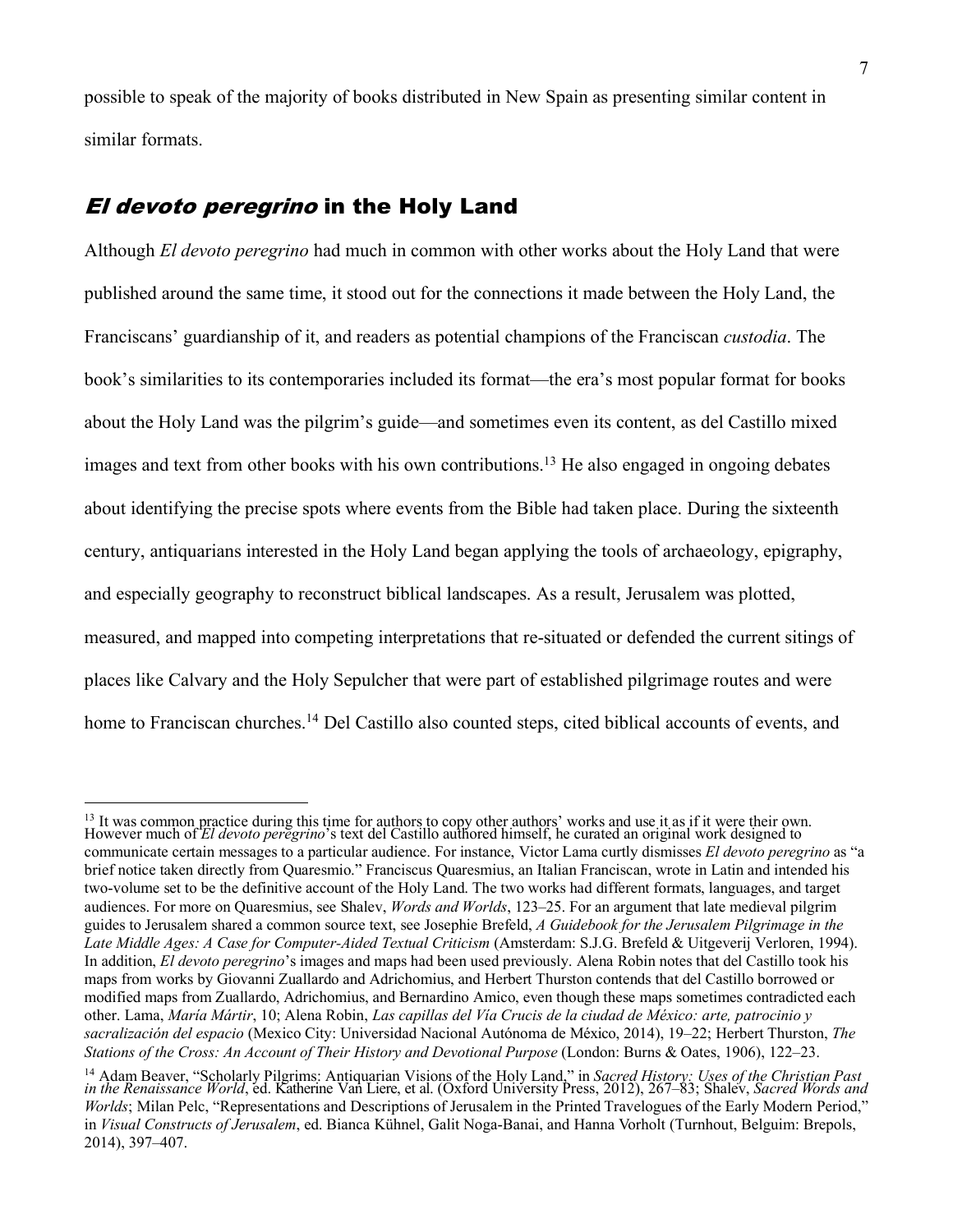possible to speak of the majority of books distributed in New Spain as presenting similar content in similar formats.

## El devoto peregrino in the Holy Land

Although *El devoto peregrino* had much in common with other works about the Holy Land that were published around the same time, it stood out for the connections it made between the Holy Land, the Franciscans' guardianship of it, and readers as potential champions of the Franciscan *custodia*. The book's similarities to its contemporaries included its format—the era's most popular format for books about the Holy Land was the pilgrim's guide—and sometimes even its content, as del Castillo mixed images and text from other books with his own contributions.<sup>13</sup> He also engaged in ongoing debates about identifying the precise spots where events from the Bible had taken place. During the sixteenth century, antiquarians interested in the Holy Land began applying the tools of archaeology, epigraphy, and especially geography to reconstruct biblical landscapes. As a result, Jerusalem was plotted, measured, and mapped into competing interpretations that re-situated or defended the current sitings of places like Calvary and the Holy Sepulcher that were part of established pilgrimage routes and were home to Franciscan churches.<sup>14</sup> Del Castillo also counted steps, cited biblical accounts of events, and

 $\frac{13}{12}$  It was common practice during this time for authors to copy other authors' works and use it as if it were their own. However much of *El devoto peregrino*'s text del Castillo authored himself, he curated an original work designed to communicate certain messages to a particular audience. For instance, Victor Lama curtly dismisses *El devoto peregrino* as "a brief notice taken directly from Quaresmio." Franciscus Quaresmius, an Italian Franciscan, wrote in Latin and intended his two-volume set to be the definitive account of the Holy Land. The two works had different formats, languages, and target audiences. For more on Quaresmius, see Shalev, *Words and Worlds*, 123–25. For an argument that late medieval pilgrim guides to Jerusalem shared a common source text, see Josephie Brefeld, *A Guidebook for the Jerusalem Pilgrimage in the*  Late Middle Ages: A Case for Computer-Aided Textual Criticism (Amsterdam: S.J.G. Brefeld & Uitgeverij Verloren, 1994). In addition, *El devoto peregrino*'s images and maps had been used previously. Alena Robin notes that del Castillo took his maps from works by Giovanni Zuallardo and Adrichomius, and Herbert Thurston contends that del Castillo borrowed or modified maps from Zuallardo, Adrichomius, and Bernardino Amico, even though these maps sometimes contradicted each other. Lama, *María Mártir*, 10; Alena Robin, *Las capillas del Vía Crucis de la ciudad de México: arte, patrocinio y sacralización del espacio* (Mexico City: Universidad Nacional Autónoma de México, 2014), 19–22; Herbert Thurston, *The Stations of the Cross: An Account of Their History and Devotional Purpose* (London: Burns & Oates, 1906), 122–23.

<sup>14</sup> Adam Beaver, "Scholarly Pilgrims: Antiquarian Visions of the Holy Land," in *Sacred History: Uses of the Christian Past in the Renaissance World*, ed. Katherine Van Liere, et al. (Oxford University Press, 2012), 267–83; Shalev, *Sacred Words and Worlds*; Milan Pelc, "Representations and Descriptions of Jerusalem in the Printed Travelogues of the Early Modern Period," in *Visual Constructs of Jerusalem*, ed. Bianca Kühnel, Galit Noga-Banai, and Hanna Vorholt (Turnhout, Belguim: Brepols, 2014), 397–407.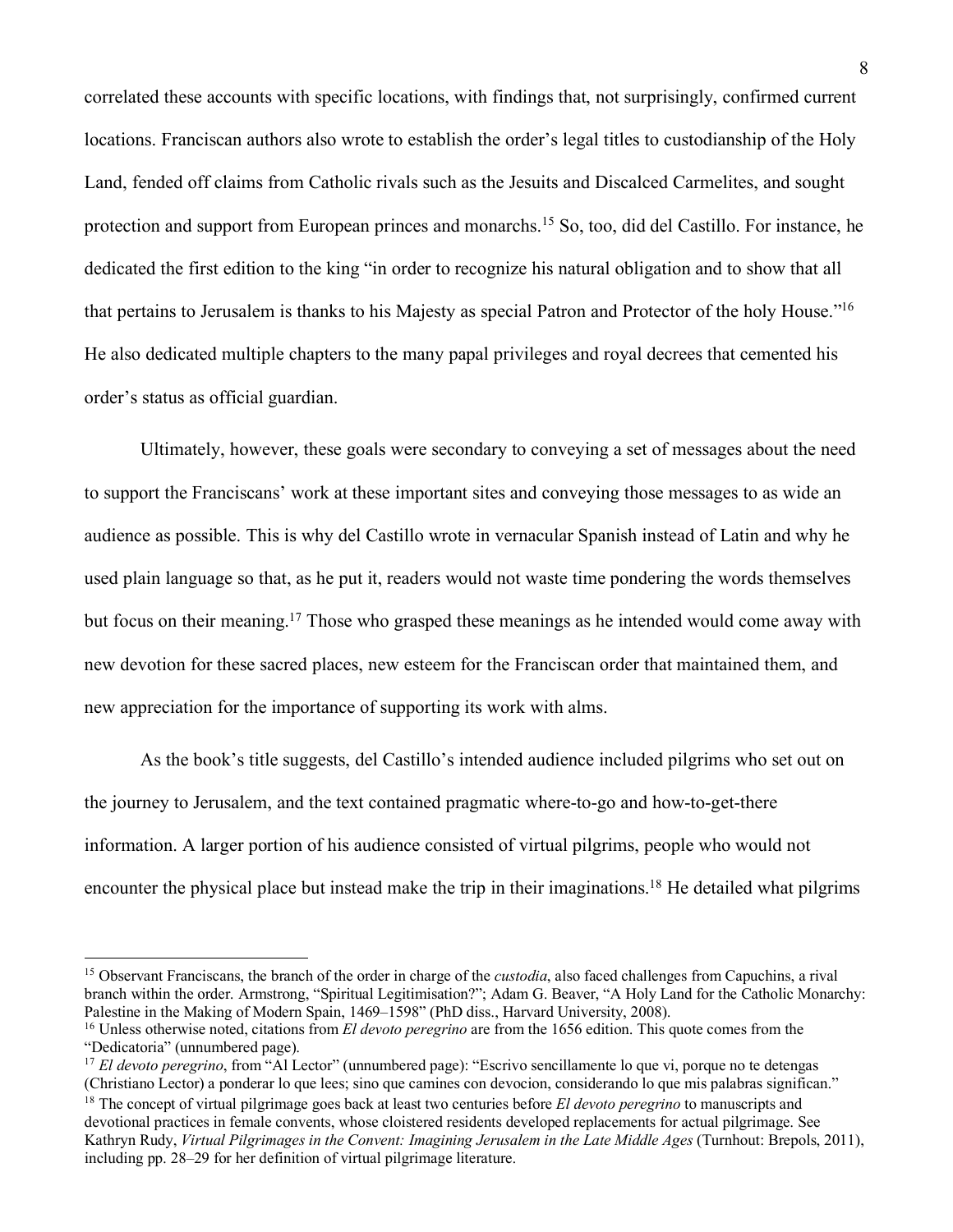correlated these accounts with specific locations, with findings that, not surprisingly, confirmed current locations. Franciscan authors also wrote to establish the order's legal titles to custodianship of the Holy Land, fended off claims from Catholic rivals such as the Jesuits and Discalced Carmelites, and sought protection and support from European princes and monarchs.15 So, too, did del Castillo. For instance, he dedicated the first edition to the king "in order to recognize his natural obligation and to show that all that pertains to Jerusalem is thanks to his Majesty as special Patron and Protector of the holy House."16 He also dedicated multiple chapters to the many papal privileges and royal decrees that cemented his order's status as official guardian.

Ultimately, however, these goals were secondary to conveying a set of messages about the need to support the Franciscans' work at these important sites and conveying those messages to as wide an audience as possible. This is why del Castillo wrote in vernacular Spanish instead of Latin and why he used plain language so that, as he put it, readers would not waste time pondering the words themselves but focus on their meaning.17 Those who grasped these meanings as he intended would come away with new devotion for these sacred places, new esteem for the Franciscan order that maintained them, and new appreciation for the importance of supporting its work with alms.

As the book's title suggests, del Castillo's intended audience included pilgrims who set out on the journey to Jerusalem, and the text contained pragmatic where-to-go and how-to-get-there information. A larger portion of his audience consisted of virtual pilgrims, people who would not encounter the physical place but instead make the trip in their imaginations.<sup>18</sup> He detailed what pilgrims

<sup>15</sup> Observant Franciscans, the branch of the order in charge of the *custodia*, also faced challenges from Capuchins, a rival branch within the order. Armstrong, "Spiritual Legitimisation?"; Adam G. Beaver, "A Holy Land for the Catholic Monarchy: Palestine in the Making of Modern Spain, 1469–1598" (PhD diss., Harvard University, 2008).

<sup>16</sup> Unless otherwise noted, citations from *El devoto peregrino* are from the 1656 edition. This quote comes from the "Dedicatoria" (unnumbered page).

<sup>17</sup> *El devoto peregrino*, from "Al Lector" (unnumbered page): "Escrivo sencillamente lo que vi, porque no te detengas (Christiano Lector) a ponderar lo que lees; sino que camines con devocion, considerando lo que mis palabras significan."

<sup>&</sup>lt;sup>18</sup> The concept of virtual pilgrimage goes back at least two centuries before *El devoto peregrino* to manuscripts and devotional practices in female convents, whose cloistered residents developed replacements for actual pilgrimage. See Kathryn Rudy, *Virtual Pilgrimages in the Convent: Imagining Jerusalem in the Late Middle Ages* (Turnhout: Brepols, 2011), including pp. 28–29 for her definition of virtual pilgrimage literature.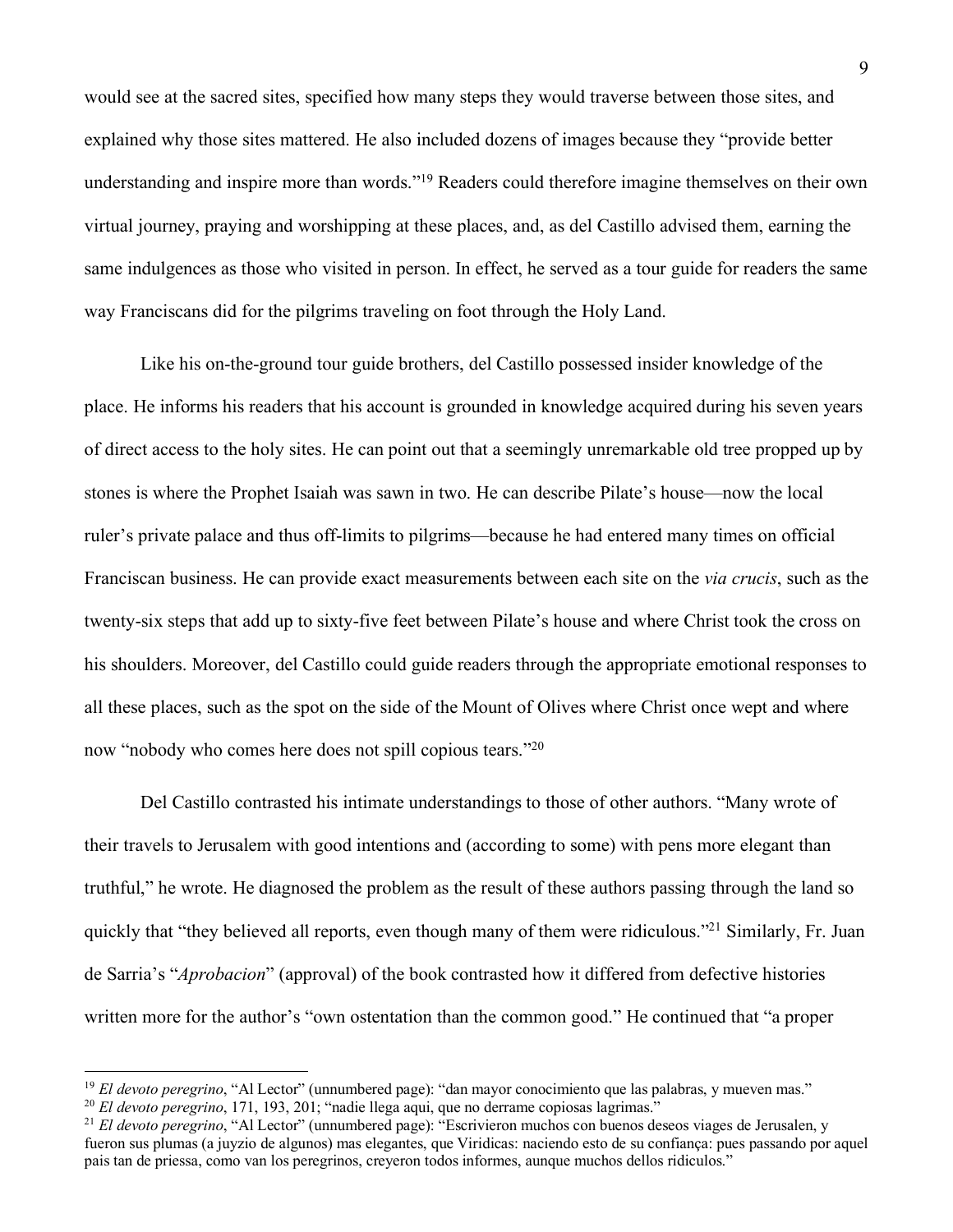would see at the sacred sites, specified how many steps they would traverse between those sites, and explained why those sites mattered. He also included dozens of images because they "provide better understanding and inspire more than words."19 Readers could therefore imagine themselves on their own virtual journey, praying and worshipping at these places, and, as del Castillo advised them, earning the same indulgences as those who visited in person. In effect, he served as a tour guide for readers the same way Franciscans did for the pilgrims traveling on foot through the Holy Land.

Like his on-the-ground tour guide brothers, del Castillo possessed insider knowledge of the place. He informs his readers that his account is grounded in knowledge acquired during his seven years of direct access to the holy sites. He can point out that a seemingly unremarkable old tree propped up by stones is where the Prophet Isaiah was sawn in two. He can describe Pilate's house—now the local ruler's private palace and thus off-limits to pilgrims—because he had entered many times on official Franciscan business. He can provide exact measurements between each site on the *via crucis*, such as the twenty-six steps that add up to sixty-five feet between Pilate's house and where Christ took the cross on his shoulders. Moreover, del Castillo could guide readers through the appropriate emotional responses to all these places, such as the spot on the side of the Mount of Olives where Christ once wept and where now "nobody who comes here does not spill copious tears."20

Del Castillo contrasted his intimate understandings to those of other authors. "Many wrote of their travels to Jerusalem with good intentions and (according to some) with pens more elegant than truthful," he wrote. He diagnosed the problem as the result of these authors passing through the land so quickly that "they believed all reports, even though many of them were ridiculous."21 Similarly, Fr. Juan de Sarria's "*Aprobacion*" (approval) of the book contrasted how it differed from defective histories written more for the author's "own ostentation than the common good." He continued that "a proper

<sup>&</sup>lt;sup>19</sup> *El devoto peregrino*, "Al Lector" (unnumbered page): "dan mayor conocimiento que las palabras, y mueven mas."

<sup>20</sup> *El devoto peregrino*, 171, 193, 201; "nadie llega aqui, que no derrame copiosas lagrimas."

<sup>&</sup>lt;sup>21</sup> *El devoto peregrino*, "Al Lector" (unnumbered page): "Escrivieron muchos con buenos deseos viages de Jerusalen, y fueron sus plumas (a juyzio de algunos) mas elegantes, que Viridicas: naciendo esto de su confiança: pues passando por aquel pais tan de priessa, como van los peregrinos, creyeron todos informes, aunque muchos dellos ridiculos."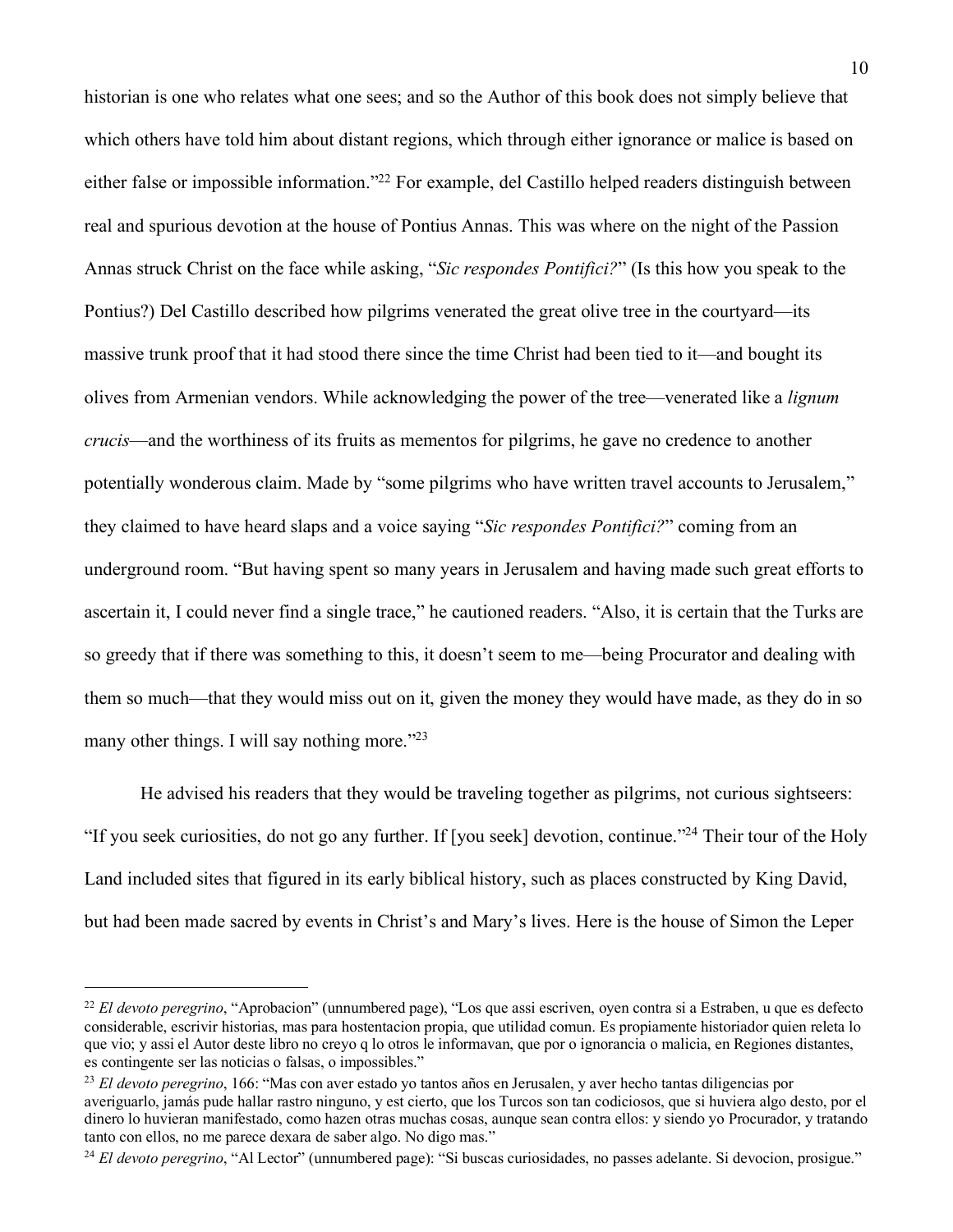historian is one who relates what one sees; and so the Author of this book does not simply believe that which others have told him about distant regions, which through either ignorance or malice is based on either false or impossible information."22 For example, del Castillo helped readers distinguish between real and spurious devotion at the house of Pontius Annas. This was where on the night of the Passion Annas struck Christ on the face while asking, "*Sic respondes Pontifici?*" (Is this how you speak to the Pontius?) Del Castillo described how pilgrims venerated the great olive tree in the courtyard—its massive trunk proof that it had stood there since the time Christ had been tied to it—and bought its olives from Armenian vendors. While acknowledging the power of the tree—venerated like a *lignum crucis*—and the worthiness of its fruits as mementos for pilgrims, he gave no credence to another potentially wonderous claim. Made by "some pilgrims who have written travel accounts to Jerusalem," they claimed to have heard slaps and a voice saying "*Sic respondes Pontifici?*" coming from an underground room. "But having spent so many years in Jerusalem and having made such great efforts to ascertain it, I could never find a single trace," he cautioned readers. "Also, it is certain that the Turks are so greedy that if there was something to this, it doesn't seem to me—being Procurator and dealing with them so much—that they would miss out on it, given the money they would have made, as they do in so many other things. I will say nothing more."23

He advised his readers that they would be traveling together as pilgrims, not curious sightseers: "If you seek curiosities, do not go any further. If [you seek] devotion, continue."24 Their tour of the Holy Land included sites that figured in its early biblical history, such as places constructed by King David, but had been made sacred by events in Christ's and Mary's lives. Here is the house of Simon the Leper

<sup>22</sup> *El devoto peregrino*, "Aprobacion" (unnumbered page), "Los que assi escriven, oyen contra si a Estraben, u que es defecto considerable, escrivir historias, mas para hostentacion propia, que utilidad comun. Es propiamente historiador quien releta lo que vio; y assi el Autor deste libro no creyo q lo otros le informavan, que por o ignorancia o malicia, en Regiones distantes, es contingente ser las noticias o falsas, o impossibles."

<sup>23</sup> *El devoto peregrino*, 166: "Mas con aver estado yo tantos años en Jerusalen, y aver hecho tantas diligencias por averiguarlo, jamás pude hallar rastro ninguno, y est cierto, que los Turcos son tan codiciosos, que si huviera algo desto, por el dinero lo huvieran manifestado, como hazen otras muchas cosas, aunque sean contra ellos: y siendo yo Procurador, y tratando tanto con ellos, no me parece dexara de saber algo. No digo mas."

<sup>24</sup> *El devoto peregrino*, "Al Lector" (unnumbered page): "Si buscas curiosidades, no passes adelante. Si devocion, prosigue."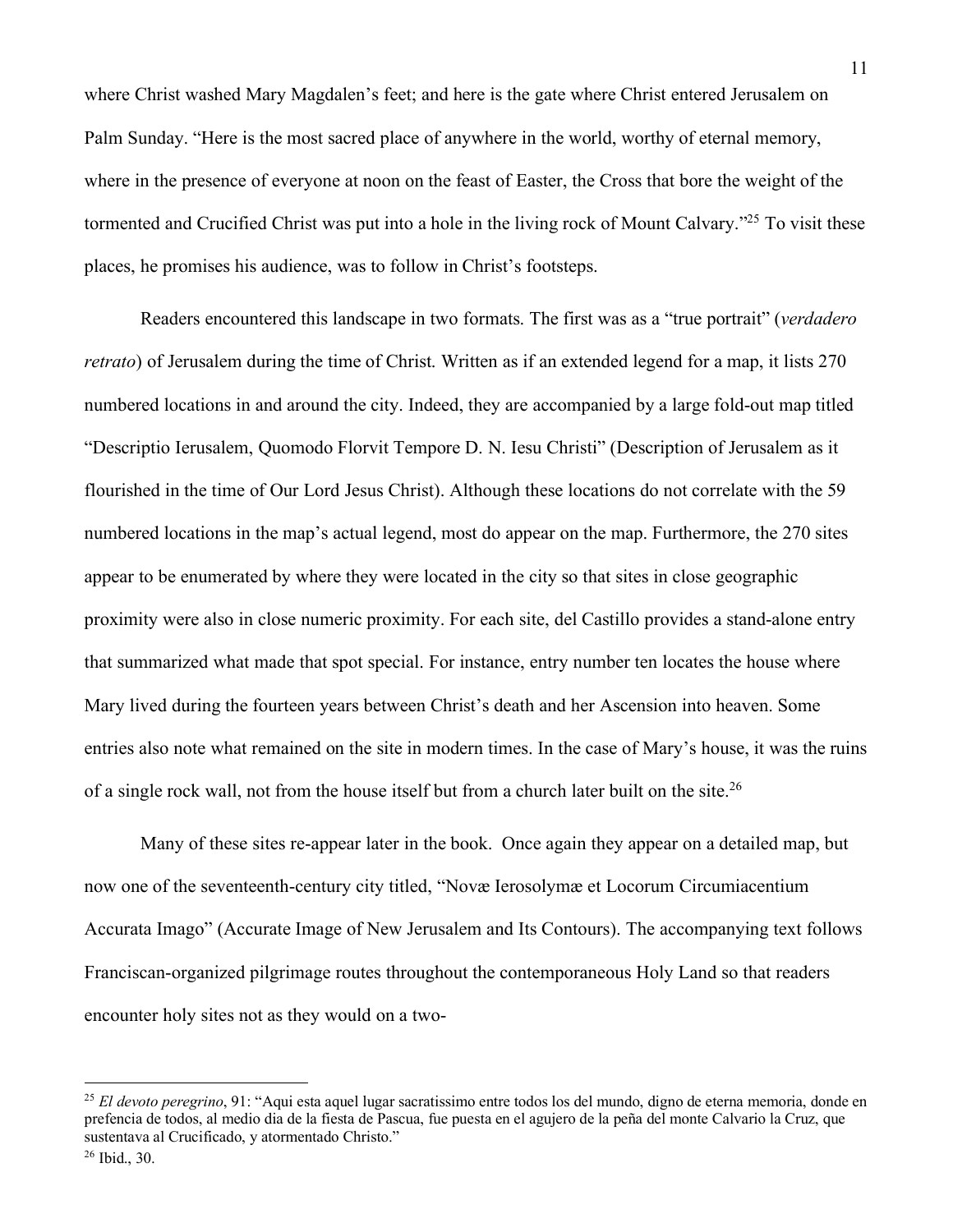where Christ washed Mary Magdalen's feet; and here is the gate where Christ entered Jerusalem on Palm Sunday. "Here is the most sacred place of anywhere in the world, worthy of eternal memory, where in the presence of everyone at noon on the feast of Easter, the Cross that bore the weight of the tormented and Crucified Christ was put into a hole in the living rock of Mount Calvary."<sup>25</sup> To visit these places, he promises his audience, was to follow in Christ's footsteps.

Readers encountered this landscape in two formats. The first was as a "true portrait" (*verdadero retrato*) of Jerusalem during the time of Christ. Written as if an extended legend for a map, it lists 270 numbered locations in and around the city. Indeed, they are accompanied by a large fold-out map titled "Descriptio Ierusalem, Quomodo Florvit Tempore D. N. Iesu Christi" (Description of Jerusalem as it flourished in the time of Our Lord Jesus Christ). Although these locations do not correlate with the 59 numbered locations in the map's actual legend, most do appear on the map. Furthermore, the 270 sites appear to be enumerated by where they were located in the city so that sites in close geographic proximity were also in close numeric proximity. For each site, del Castillo provides a stand-alone entry that summarized what made that spot special. For instance, entry number ten locates the house where Mary lived during the fourteen years between Christ's death and her Ascension into heaven. Some entries also note what remained on the site in modern times. In the case of Mary's house, it was the ruins of a single rock wall, not from the house itself but from a church later built on the site.<sup>26</sup>

Many of these sites re-appear later in the book. Once again they appear on a detailed map, but now one of the seventeenth-century city titled, "Novæ Ierosolymæ et Locorum Circumiacentium Accurata Imago" (Accurate Image of New Jerusalem and Its Contours). The accompanying text follows Franciscan-organized pilgrimage routes throughout the contemporaneous Holy Land so that readers encounter holy sites not as they would on a two-

<sup>25</sup> *El devoto peregrino*, 91: "Aqui esta aquel lugar sacratissimo entre todos los del mundo, digno de eterna memoria, donde en prefencia de todos, al medio dia de la fiesta de Pascua, fue puesta en el agujero de la peña del monte Calvario la Cruz, que sustentava al Crucificado, y atormentado Christo."

<sup>26</sup> Ibid., 30.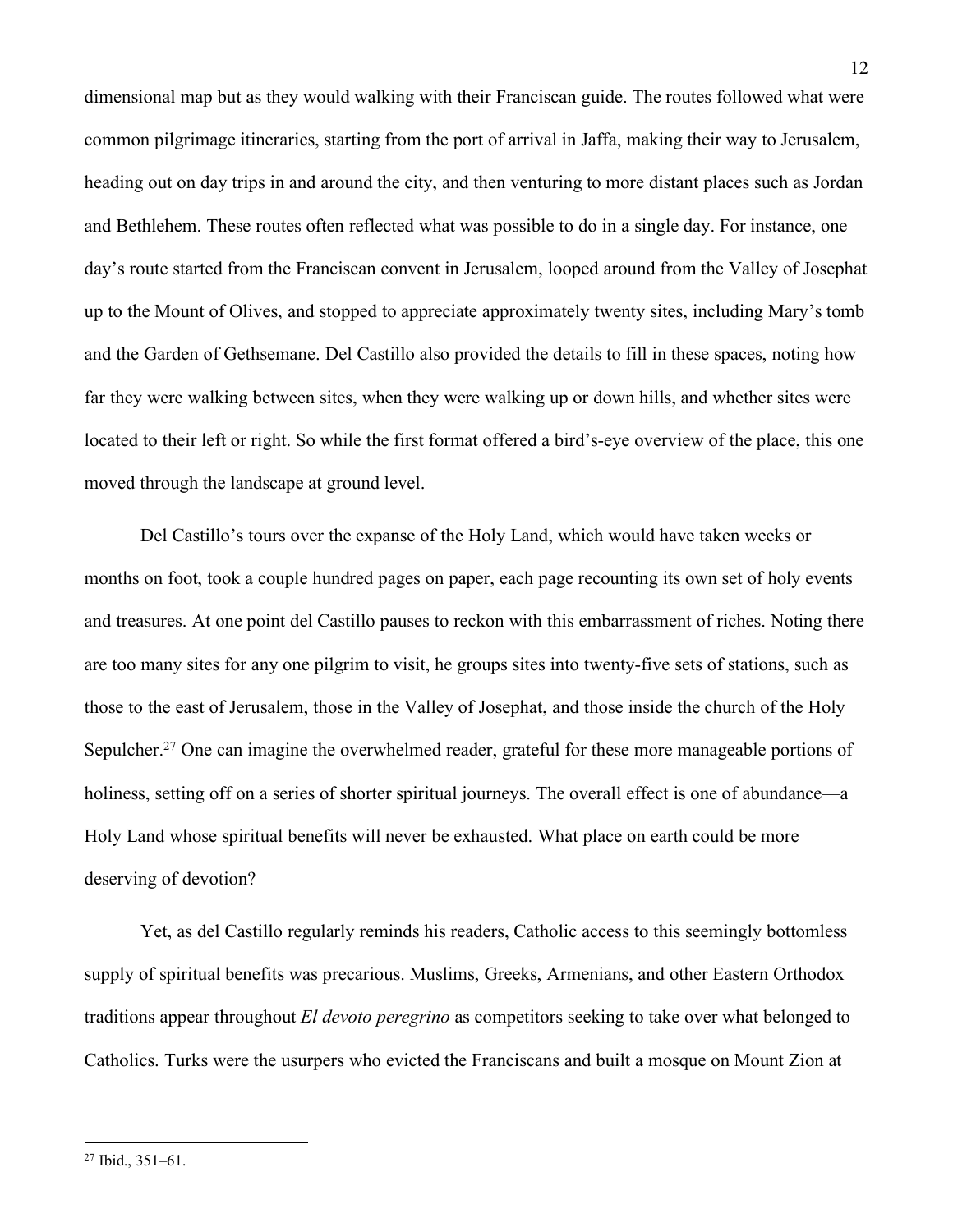dimensional map but as they would walking with their Franciscan guide. The routes followed what were common pilgrimage itineraries, starting from the port of arrival in Jaffa, making their way to Jerusalem, heading out on day trips in and around the city, and then venturing to more distant places such as Jordan and Bethlehem. These routes often reflected what was possible to do in a single day. For instance, one day's route started from the Franciscan convent in Jerusalem, looped around from the Valley of Josephat up to the Mount of Olives, and stopped to appreciate approximately twenty sites, including Mary's tomb and the Garden of Gethsemane. Del Castillo also provided the details to fill in these spaces, noting how far they were walking between sites, when they were walking up or down hills, and whether sites were located to their left or right. So while the first format offered a bird's-eye overview of the place, this one moved through the landscape at ground level.

Del Castillo's tours over the expanse of the Holy Land, which would have taken weeks or months on foot, took a couple hundred pages on paper, each page recounting its own set of holy events and treasures. At one point del Castillo pauses to reckon with this embarrassment of riches. Noting there are too many sites for any one pilgrim to visit, he groups sites into twenty-five sets of stations, such as those to the east of Jerusalem, those in the Valley of Josephat, and those inside the church of the Holy Sepulcher.<sup>27</sup> One can imagine the overwhelmed reader, grateful for these more manageable portions of holiness, setting off on a series of shorter spiritual journeys. The overall effect is one of abundance—a Holy Land whose spiritual benefits will never be exhausted. What place on earth could be more deserving of devotion?

Yet, as del Castillo regularly reminds his readers, Catholic access to this seemingly bottomless supply of spiritual benefits was precarious. Muslims, Greeks, Armenians, and other Eastern Orthodox traditions appear throughout *El devoto peregrino* as competitors seeking to take over what belonged to Catholics. Turks were the usurpers who evicted the Franciscans and built a mosque on Mount Zion at

<sup>27</sup> Ibid., 351–61.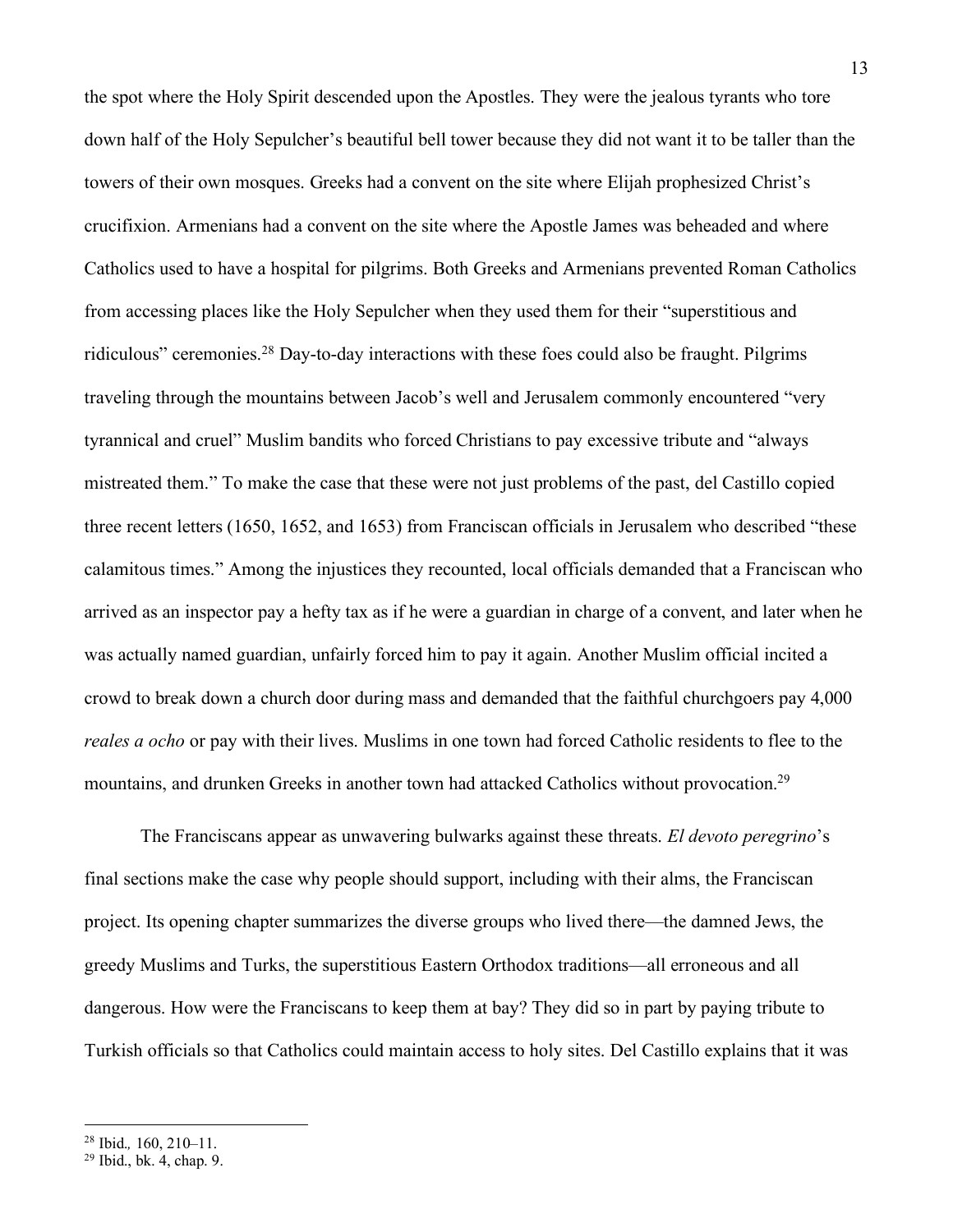the spot where the Holy Spirit descended upon the Apostles. They were the jealous tyrants who tore down half of the Holy Sepulcher's beautiful bell tower because they did not want it to be taller than the towers of their own mosques. Greeks had a convent on the site where Elijah prophesized Christ's crucifixion. Armenians had a convent on the site where the Apostle James was beheaded and where Catholics used to have a hospital for pilgrims. Both Greeks and Armenians prevented Roman Catholics from accessing places like the Holy Sepulcher when they used them for their "superstitious and ridiculous" ceremonies.28 Day-to-day interactions with these foes could also be fraught. Pilgrims traveling through the mountains between Jacob's well and Jerusalem commonly encountered "very tyrannical and cruel" Muslim bandits who forced Christians to pay excessive tribute and "always mistreated them." To make the case that these were not just problems of the past, del Castillo copied three recent letters (1650, 1652, and 1653) from Franciscan officials in Jerusalem who described "these calamitous times." Among the injustices they recounted, local officials demanded that a Franciscan who arrived as an inspector pay a hefty tax as if he were a guardian in charge of a convent, and later when he was actually named guardian, unfairly forced him to pay it again. Another Muslim official incited a crowd to break down a church door during mass and demanded that the faithful churchgoers pay 4,000 *reales a ocho* or pay with their lives. Muslims in one town had forced Catholic residents to flee to the mountains, and drunken Greeks in another town had attacked Catholics without provocation.<sup>29</sup>

The Franciscans appear as unwavering bulwarks against these threats. *El devoto peregrino*'s final sections make the case why people should support, including with their alms, the Franciscan project. Its opening chapter summarizes the diverse groups who lived there—the damned Jews, the greedy Muslims and Turks, the superstitious Eastern Orthodox traditions—all erroneous and all dangerous. How were the Franciscans to keep them at bay? They did so in part by paying tribute to Turkish officials so that Catholics could maintain access to holy sites. Del Castillo explains that it was

<sup>28</sup> Ibid.*,* 160, 210–11.

<sup>29</sup> Ibid., bk. 4, chap. 9.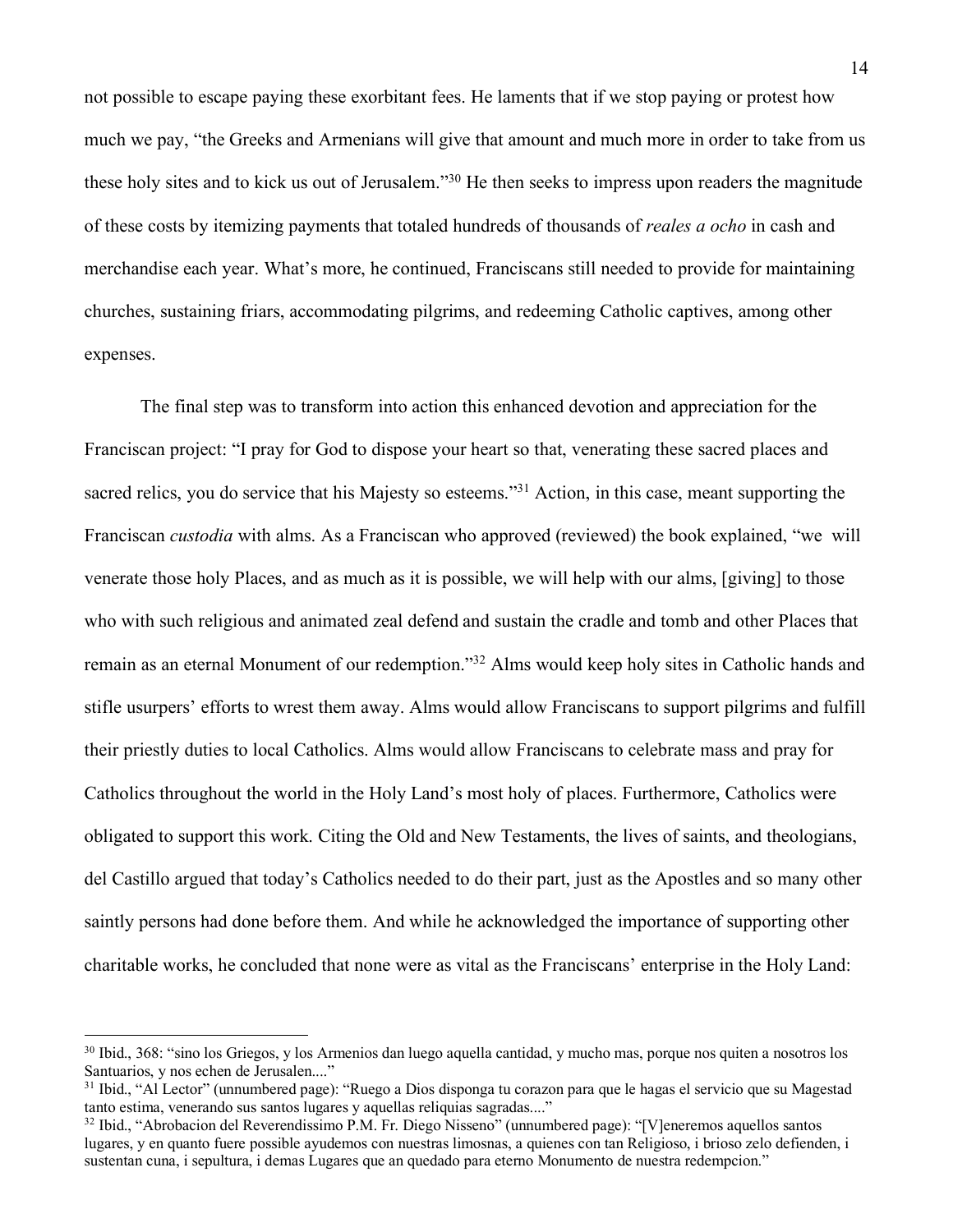not possible to escape paying these exorbitant fees. He laments that if we stop paying or protest how much we pay, "the Greeks and Armenians will give that amount and much more in order to take from us these holy sites and to kick us out of Jerusalem."30 He then seeks to impress upon readers the magnitude of these costs by itemizing payments that totaled hundreds of thousands of *reales a ocho* in cash and merchandise each year. What's more, he continued, Franciscans still needed to provide for maintaining churches, sustaining friars, accommodating pilgrims, and redeeming Catholic captives, among other expenses.

The final step was to transform into action this enhanced devotion and appreciation for the Franciscan project: "I pray for God to dispose your heart so that, venerating these sacred places and sacred relics, you do service that his Majesty so esteems."<sup>31</sup> Action, in this case, meant supporting the Franciscan *custodia* with alms. As a Franciscan who approved (reviewed) the book explained, "we will venerate those holy Places, and as much as it is possible, we will help with our alms, [giving] to those who with such religious and animated zeal defend and sustain the cradle and tomb and other Places that remain as an eternal Monument of our redemption."32 Alms would keep holy sites in Catholic hands and stifle usurpers' efforts to wrest them away. Alms would allow Franciscans to support pilgrims and fulfill their priestly duties to local Catholics. Alms would allow Franciscans to celebrate mass and pray for Catholics throughout the world in the Holy Land's most holy of places. Furthermore, Catholics were obligated to support this work. Citing the Old and New Testaments, the lives of saints, and theologians, del Castillo argued that today's Catholics needed to do their part, just as the Apostles and so many other saintly persons had done before them. And while he acknowledged the importance of supporting other charitable works, he concluded that none were as vital as the Franciscans' enterprise in the Holy Land:

<sup>30</sup> Ibid., 368: "sino los Griegos, y los Armenios dan luego aquella cantidad, y mucho mas, porque nos quiten a nosotros los Santuarios, y nos echen de Jerusalen...."

<sup>31</sup> Ibid., "Al Lector" (unnumbered page): "Ruego a Dios disponga tu corazon para que le hagas el servicio que su Magestad tanto estima, venerando sus santos lugares y aquellas reliquias sagradas...."

<sup>32</sup> Ibid., "Abrobacion del Reverendissimo P.M. Fr. Diego Nisseno" (unnumbered page): "[V]eneremos aquellos santos lugares, y en quanto fuere possible ayudemos con nuestras limosnas, a quienes con tan Religioso, i brioso zelo defienden, i sustentan cuna, i sepultura, i demas Lugares que an quedado para eterno Monumento de nuestra redempcion."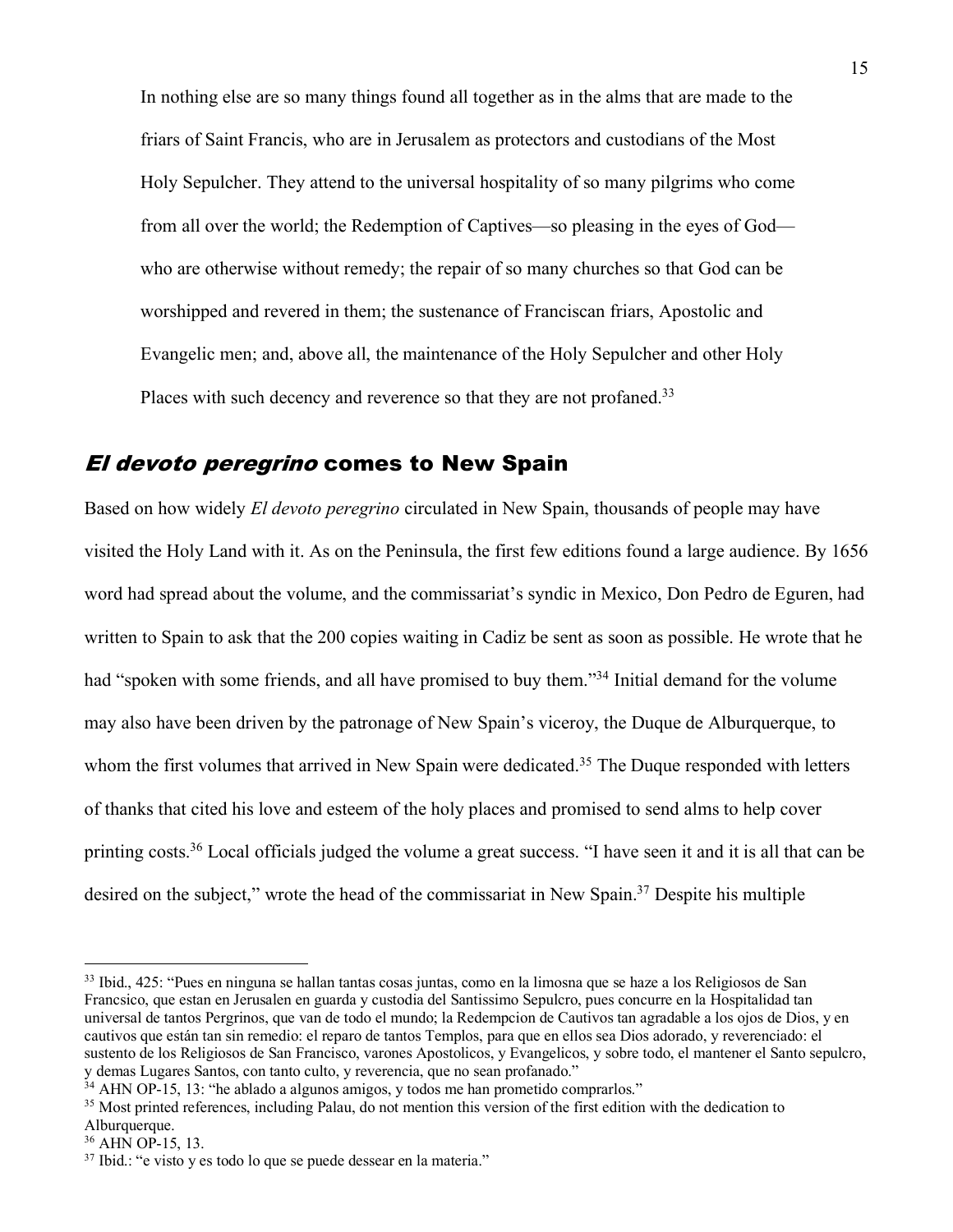In nothing else are so many things found all together as in the alms that are made to the friars of Saint Francis, who are in Jerusalem as protectors and custodians of the Most Holy Sepulcher. They attend to the universal hospitality of so many pilgrims who come from all over the world; the Redemption of Captives—so pleasing in the eyes of God who are otherwise without remedy; the repair of so many churches so that God can be worshipped and revered in them; the sustenance of Franciscan friars, Apostolic and Evangelic men; and, above all, the maintenance of the Holy Sepulcher and other Holy Places with such decency and reverence so that they are not profaned.<sup>33</sup>

### El devoto peregrino comes to New Spain

Based on how widely *El devoto peregrino* circulated in New Spain, thousands of people may have visited the Holy Land with it. As on the Peninsula, the first few editions found a large audience. By 1656 word had spread about the volume, and the commissariat's syndic in Mexico, Don Pedro de Eguren, had written to Spain to ask that the 200 copies waiting in Cadiz be sent as soon as possible. He wrote that he had "spoken with some friends, and all have promised to buy them."<sup>34</sup> Initial demand for the volume may also have been driven by the patronage of New Spain's viceroy, the Duque de Alburquerque, to whom the first volumes that arrived in New Spain were dedicated.<sup>35</sup> The Duque responded with letters of thanks that cited his love and esteem of the holy places and promised to send alms to help cover printing costs.36 Local officials judged the volume a great success. "I have seen it and it is all that can be desired on the subject," wrote the head of the commissariat in New Spain.37 Despite his multiple

<sup>33</sup> Ibid., 425: "Pues en ninguna se hallan tantas cosas juntas, como en la limosna que se haze a los Religiosos de San Francsico, que estan en Jerusalen en guarda y custodia del Santissimo Sepulcro, pues concurre en la Hospitalidad tan universal de tantos Pergrinos, que van de todo el mundo; la Redempcion de Cautivos tan agradable a los ojos de Dios, y en cautivos que están tan sin remedio: el reparo de tantos Templos, para que en ellos sea Dios adorado, y reverenciado: el sustento de los Religiosos de San Francisco, varones Apostolicos, y Evangelicos, y sobre todo, el mantener el Santo sepulcro, y demas Lugares Santos, con tanto culto, y reverencia, que no sean profanado."

<sup>&</sup>lt;sup>34</sup> AHN OP-15, 13: "he ablado a algunos amigos, y todos me han prometido comprarlos."

<sup>&</sup>lt;sup>35</sup> Most printed references, including Palau, do not mention this version of the first edition with the dedication to Alburquerque.

<sup>36</sup> AHN OP-15, 13.

<sup>37</sup> Ibid.: "e visto y es todo lo que se puede dessear en la materia."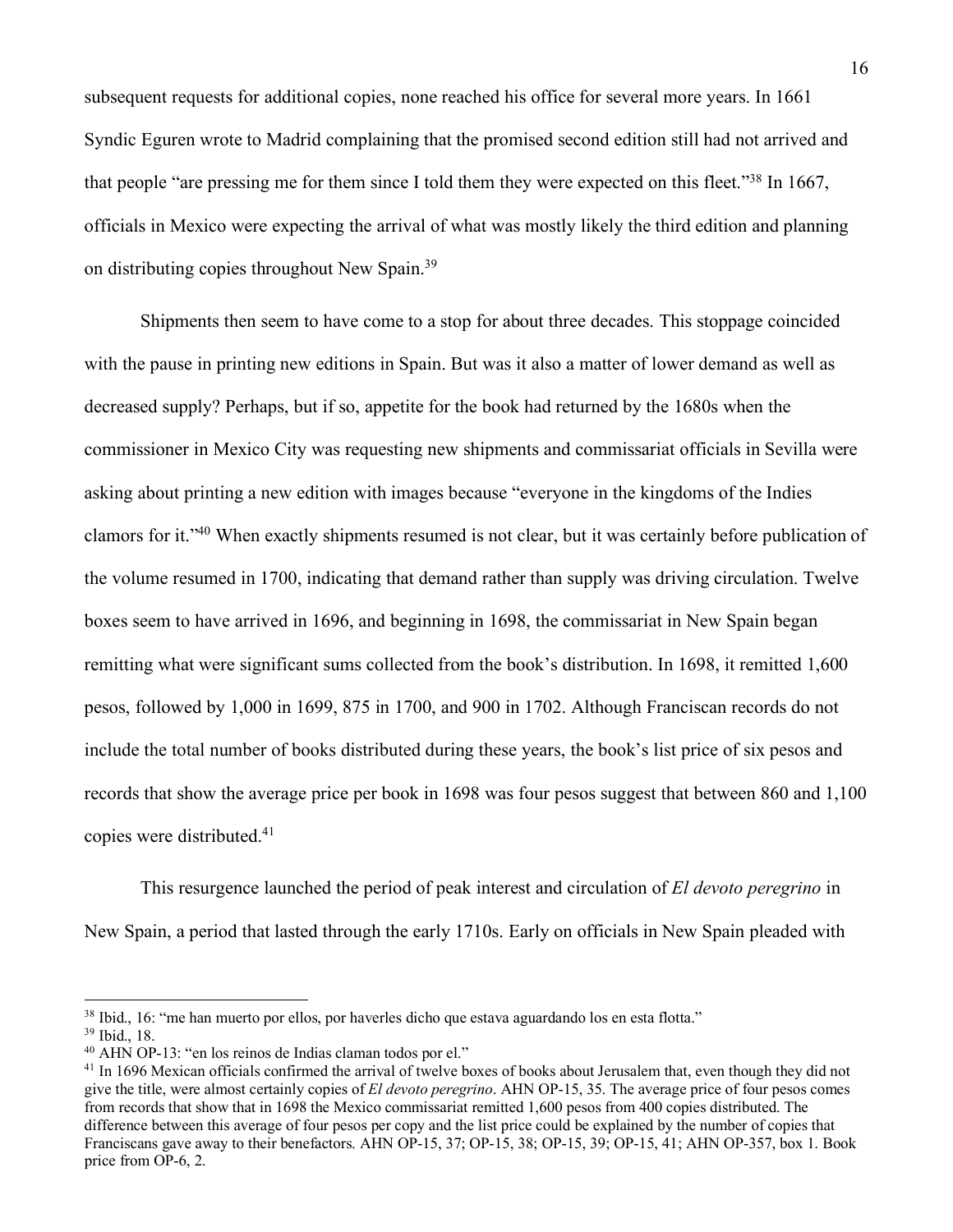subsequent requests for additional copies, none reached his office for several more years. In 1661 Syndic Eguren wrote to Madrid complaining that the promised second edition still had not arrived and that people "are pressing me for them since I told them they were expected on this fleet."38 In 1667, officials in Mexico were expecting the arrival of what was mostly likely the third edition and planning on distributing copies throughout New Spain.39

Shipments then seem to have come to a stop for about three decades. This stoppage coincided with the pause in printing new editions in Spain. But was it also a matter of lower demand as well as decreased supply? Perhaps, but if so, appetite for the book had returned by the 1680s when the commissioner in Mexico City was requesting new shipments and commissariat officials in Sevilla were asking about printing a new edition with images because "everyone in the kingdoms of the Indies clamors for it."40 When exactly shipments resumed is not clear, but it was certainly before publication of the volume resumed in 1700, indicating that demand rather than supply was driving circulation. Twelve boxes seem to have arrived in 1696, and beginning in 1698, the commissariat in New Spain began remitting what were significant sums collected from the book's distribution. In 1698, it remitted 1,600 pesos, followed by 1,000 in 1699, 875 in 1700, and 900 in 1702. Although Franciscan records do not include the total number of books distributed during these years, the book's list price of six pesos and records that show the average price per book in 1698 was four pesos suggest that between 860 and 1,100 copies were distributed.41

This resurgence launched the period of peak interest and circulation of *El devoto peregrino* in New Spain, a period that lasted through the early 1710s. Early on officials in New Spain pleaded with

<sup>38</sup> Ibid., 16: "me han muerto por ellos, por haverles dicho que estava aguardando los en esta flotta."

<sup>39</sup> Ibid., 18.

<sup>40</sup> AHN OP-13: "en los reinos de Indias claman todos por el."

<sup>&</sup>lt;sup>41</sup> In 1696 Mexican officials confirmed the arrival of twelve boxes of books about Jerusalem that, even though they did not give the title, were almost certainly copies of *El devoto peregrino*. AHN OP-15, 35. The average price of four pesos comes from records that show that in 1698 the Mexico commissariat remitted 1,600 pesos from 400 copies distributed. The difference between this average of four pesos per copy and the list price could be explained by the number of copies that Franciscans gave away to their benefactors. AHN OP-15, 37; OP-15, 38; OP-15, 39; OP-15, 41; AHN OP-357, box 1. Book price from OP-6, 2.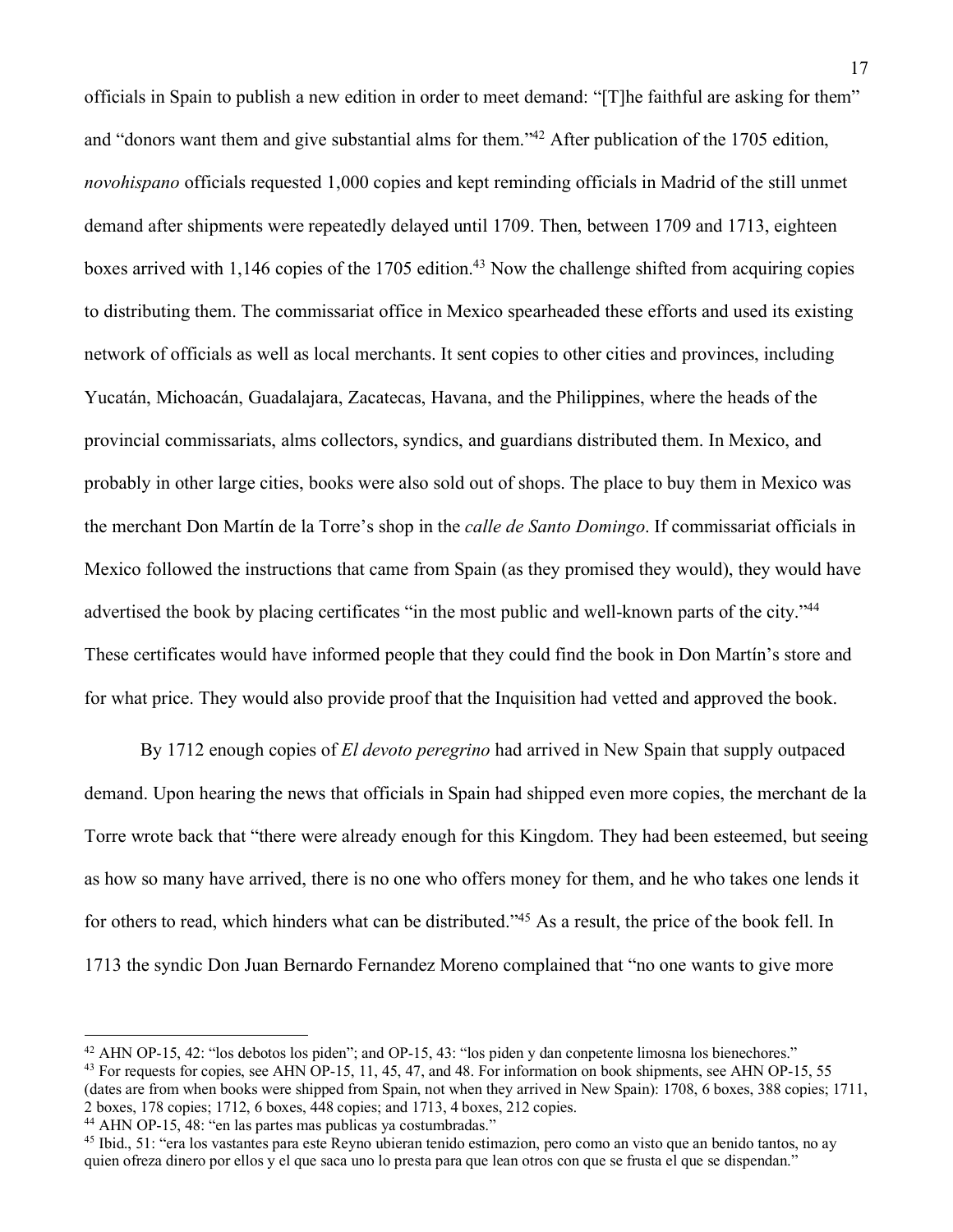officials in Spain to publish a new edition in order to meet demand: "[T]he faithful are asking for them" and "donors want them and give substantial alms for them."42 After publication of the 1705 edition, *novohispano* officials requested 1,000 copies and kept reminding officials in Madrid of the still unmet demand after shipments were repeatedly delayed until 1709. Then, between 1709 and 1713, eighteen boxes arrived with 1,146 copies of the 1705 edition.<sup>43</sup> Now the challenge shifted from acquiring copies to distributing them. The commissariat office in Mexico spearheaded these efforts and used its existing network of officials as well as local merchants. It sent copies to other cities and provinces, including Yucatán, Michoacán, Guadalajara, Zacatecas, Havana, and the Philippines, where the heads of the provincial commissariats, alms collectors, syndics, and guardians distributed them. In Mexico, and probably in other large cities, books were also sold out of shops. The place to buy them in Mexico was the merchant Don Martín de la Torre's shop in the *calle de Santo Domingo*. If commissariat officials in Mexico followed the instructions that came from Spain (as they promised they would), they would have advertised the book by placing certificates "in the most public and well-known parts of the city."<sup>44</sup> These certificates would have informed people that they could find the book in Don Martín's store and for what price. They would also provide proof that the Inquisition had vetted and approved the book.

By 1712 enough copies of *El devoto peregrino* had arrived in New Spain that supply outpaced demand. Upon hearing the news that officials in Spain had shipped even more copies, the merchant de la Torre wrote back that "there were already enough for this Kingdom. They had been esteemed, but seeing as how so many have arrived, there is no one who offers money for them, and he who takes one lends it for others to read, which hinders what can be distributed."45 As a result, the price of the book fell. In 1713 the syndic Don Juan Bernardo Fernandez Moreno complained that "no one wants to give more

<sup>44</sup> AHN OP-15, 48: "en las partes mas publicas ya costumbradas."

<sup>42</sup> AHN OP-15, 42: "los debotos los piden"; and OP-15, 43: "los piden y dan conpetente limosna los bienechores." <sup>43</sup> For requests for copies, see AHN OP-15, 11, 45, 47, and 48. For information on book shipments, see AHN OP-15, 55 (dates are from when books were shipped from Spain, not when they arrived in New Spain): 1708, 6 boxes, 388 copies; 1711, 2 boxes, 178 copies; 1712, 6 boxes, 448 copies; and 1713, 4 boxes, 212 copies.

<sup>45</sup> Ibid., 51: "era los vastantes para este Reyno ubieran tenido estimazion, pero como an visto que an benido tantos, no ay quien ofreza dinero por ellos y el que saca uno lo presta para que lean otros con que se frusta el que se dispendan."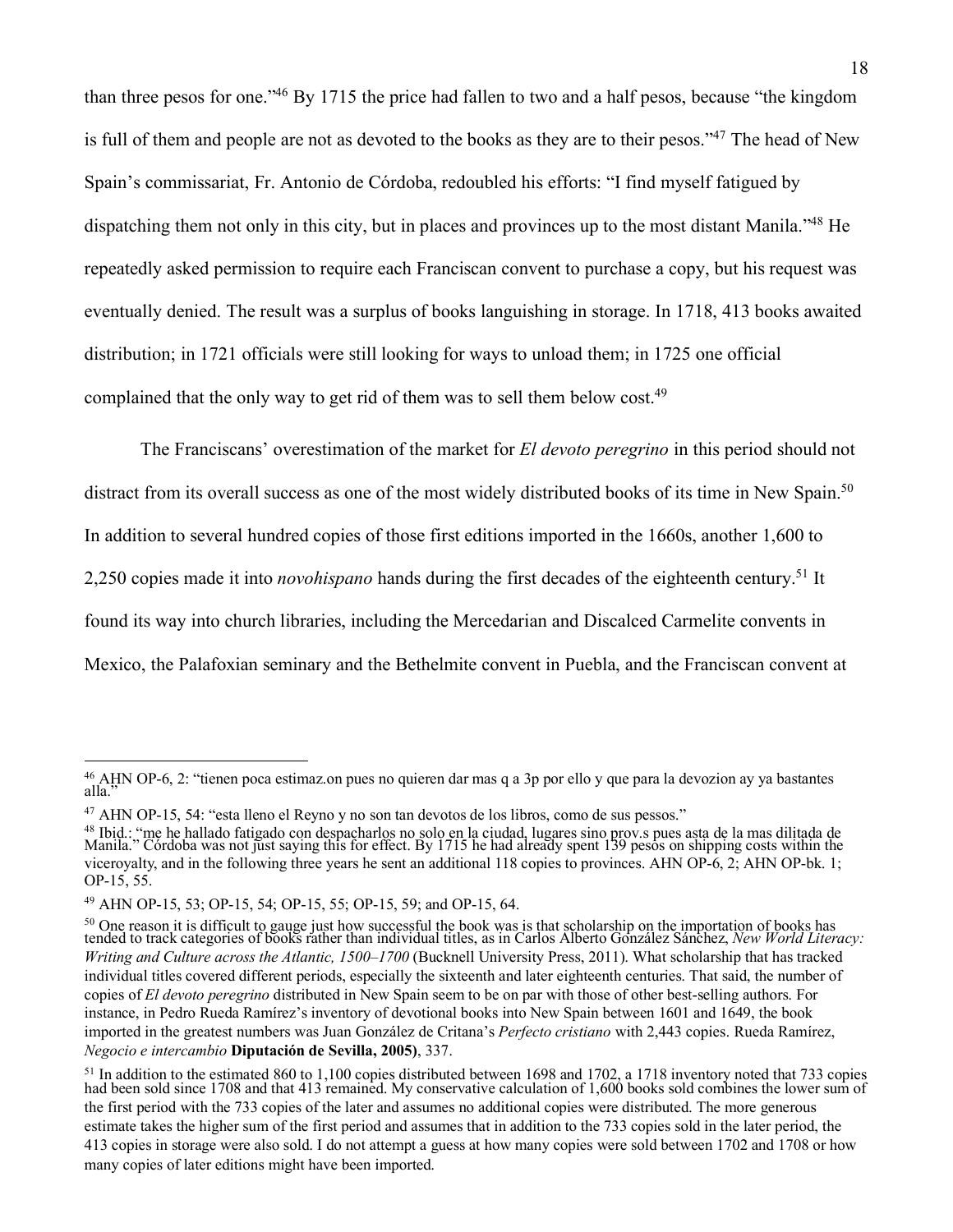than three pesos for one."46 By 1715 the price had fallen to two and a half pesos, because "the kingdom is full of them and people are not as devoted to the books as they are to their pesos."47 The head of New Spain's commissariat, Fr. Antonio de Córdoba, redoubled his efforts: "I find myself fatigued by dispatching them not only in this city, but in places and provinces up to the most distant Manila."48 He repeatedly asked permission to require each Franciscan convent to purchase a copy, but his request was eventually denied. The result was a surplus of books languishing in storage. In 1718, 413 books awaited distribution; in 1721 officials were still looking for ways to unload them; in 1725 one official complained that the only way to get rid of them was to sell them below cost.<sup>49</sup>

The Franciscans' overestimation of the market for *El devoto peregrino* in this period should not distract from its overall success as one of the most widely distributed books of its time in New Spain.<sup>50</sup> In addition to several hundred copies of those first editions imported in the 1660s, another 1,600 to 2,250 copies made it into *novohispano* hands during the first decades of the eighteenth century.51 It found its way into church libraries, including the Mercedarian and Discalced Carmelite convents in Mexico, the Palafoxian seminary and the Bethelmite convent in Puebla, and the Franciscan convent at

<sup>46</sup> AHN OP-6, 2: "tienen poca estimaz.on pues no quieren dar mas q a 3p por ello y que para la devozion ay ya bastantes alla."

<sup>47</sup> AHN OP-15, 54: "esta lleno el Reyno y no son tan devotos de los libros, como de sus pessos."

<sup>&</sup>lt;sup>48</sup> Ibid.: "me he hallado fatigado con despacharlos no solo en la ciudad, lugares sino prov.s pues asta de la mas dilitada de<br>Manila." Córdoba was not just saying this for effect. By 1715 he had already spent 139 pesos on viceroyalty, and in the following three years he sent an additional 118 copies to provinces. AHN OP-6, 2; AHN OP-bk. 1; OP-15, 55.

<sup>49</sup> AHN OP-15, 53; OP-15, 54; OP-15, 55; OP-15, 59; and OP-15, 64.

<sup>&</sup>lt;sup>50</sup> One reason it is difficult to gauge just how successful the book was is that scholarship on the importation of books has tended to track categories of books rather than individual titles, as in Carlos Alberto González Sánchez, *New World Literacy: Writing and Culture across the Atlantic, 1500–1700* (Bucknell University Press, 2011). What scholarship that has tracked individual titles covered different periods, especially the sixteenth and later eighteenth centuries. That said, the number of copies of *El devoto peregrino* distributed in New Spain seem to be on par with those of other best-selling authors. For instance, in Pedro Rueda Ramírez's inventory of devotional books into New Spain between 1601 and 1649, the book imported in the greatest numbers was Juan González de Critana's *Perfecto cristiano* with 2,443 copies. Rueda Ramírez, *Negocio e intercambio* **Diputación de Sevilla, 2005)**, 337.

<sup>&</sup>lt;sup>51</sup> In addition to the estimated 860 to 1,100 copies distributed between 1698 and 1702, a 1718 inventory noted that 733 copies had been sold since 1708 and that 413 remained. My conservative calculation of 1,600 books sold combines the lower sum of the first period with the 733 copies of the later and assumes no additional copies were distributed. The more generous estimate takes the higher sum of the first period and assumes that in addition to the 733 copies sold in the later period, the 413 copies in storage were also sold. I do not attempt a guess at how many copies were sold between 1702 and 1708 or how many copies of later editions might have been imported.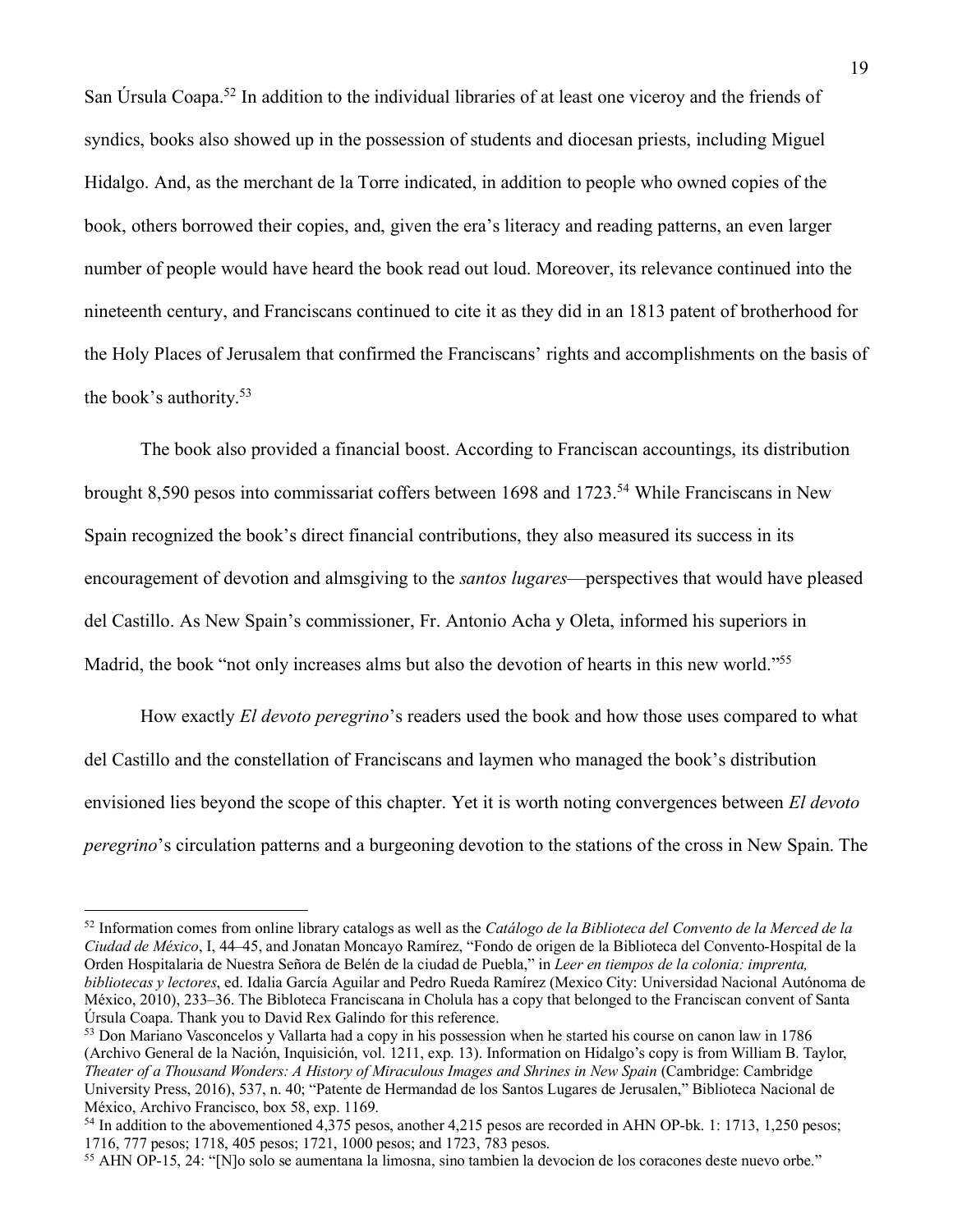San Úrsula Coapa.52 In addition to the individual libraries of at least one viceroy and the friends of syndics, books also showed up in the possession of students and diocesan priests, including Miguel Hidalgo. And, as the merchant de la Torre indicated, in addition to people who owned copies of the book, others borrowed their copies, and, given the era's literacy and reading patterns, an even larger number of people would have heard the book read out loud. Moreover, its relevance continued into the nineteenth century, and Franciscans continued to cite it as they did in an 1813 patent of brotherhood for the Holy Places of Jerusalem that confirmed the Franciscans' rights and accomplishments on the basis of the book's authority.53

The book also provided a financial boost. According to Franciscan accountings, its distribution brought 8,590 pesos into commissariat coffers between 1698 and 1723.54 While Franciscans in New Spain recognized the book's direct financial contributions, they also measured its success in its encouragement of devotion and almsgiving to the *santos lugares*—perspectives that would have pleased del Castillo. As New Spain's commissioner, Fr. Antonio Acha y Oleta, informed his superiors in Madrid, the book "not only increases alms but also the devotion of hearts in this new world."<sup>55</sup>

How exactly *El devoto peregrino*'s readers used the book and how those uses compared to what del Castillo and the constellation of Franciscans and laymen who managed the book's distribution envisioned lies beyond the scope of this chapter. Yet it is worth noting convergences between *El devoto peregrino*'s circulation patterns and a burgeoning devotion to the stations of the cross in New Spain. The

<sup>52</sup> Information comes from online library catalogs as well as the *Catálogo de la Biblioteca del Convento de la Merced de la Ciudad de México*, I, 44–45, and Jonatan Moncayo Ramírez, "Fondo de origen de la Biblioteca del Convento-Hospital de la Orden Hospitalaria de Nuestra Señora de Belén de la ciudad de Puebla," in *Leer en tiempos de la colonia: imprenta, bibliotecas y lectores*, ed. Idalia García Aguilar and Pedro Rueda Ramírez (Mexico City: Universidad Nacional Autónoma de México, 2010), 233–36. The Bibloteca Franciscana in Cholula has a copy that belonged to the Franciscan convent of Santa Úrsula Coapa. Thank you to David Rex Galindo for this reference.

<sup>&</sup>lt;sup>53</sup> Don Mariano Vasconcelos y Vallarta had a copy in his possession when he started his course on canon law in 1786 (Archivo General de la Nación, Inquisición, vol. 1211, exp. 13). Information on Hidalgo's copy is from William B. Taylor, *Theater of a Thousand Wonders: A History of Miraculous Images and Shrines in New Spain* (Cambridge: Cambridge University Press, 2016), 537, n. 40; "Patente de Hermandad de los Santos Lugares de Jerusalen," Biblioteca Nacional de México, Archivo Francisco, box 58, exp. 1169.

<sup>&</sup>lt;sup>54</sup> In addition to the abovementioned 4,375 pesos, another 4,215 pesos are recorded in AHN OP-bk. 1: 1713, 1,250 pesos; 1716, 777 pesos; 1718, 405 pesos; 1721, 1000 pesos; and 1723, 783 pesos.

<sup>55</sup> AHN OP-15, 24: "[N]o solo se aumentana la limosna, sino tambien la devocion de los coracones deste nuevo orbe."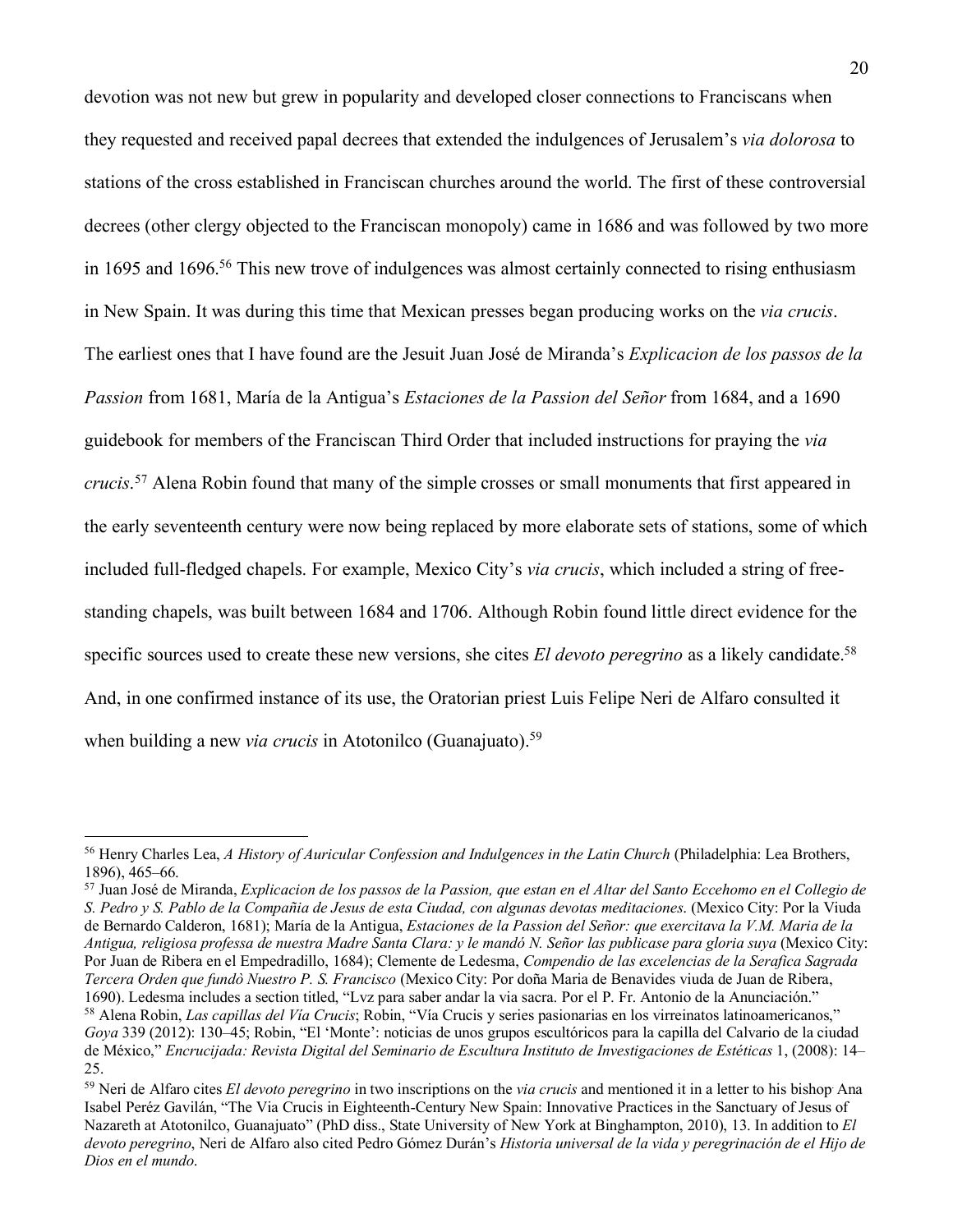devotion was not new but grew in popularity and developed closer connections to Franciscans when they requested and received papal decrees that extended the indulgences of Jerusalem's *via dolorosa* to stations of the cross established in Franciscan churches around the world. The first of these controversial decrees (other clergy objected to the Franciscan monopoly) came in 1686 and was followed by two more in 1695 and 1696.<sup>56</sup> This new trove of indulgences was almost certainly connected to rising enthusiasm in New Spain. It was during this time that Mexican presses began producing works on the *via crucis*. The earliest ones that I have found are the Jesuit Juan José de Miranda's *Explicacion de los passos de la Passion* from 1681, María de la Antigua's *Estaciones de la Passion del Señor* from 1684, and a 1690 guidebook for members of the Franciscan Third Order that included instructions for praying the *via crucis*. <sup>57</sup> Alena Robin found that many of the simple crosses or small monuments that first appeared in the early seventeenth century were now being replaced by more elaborate sets of stations, some of which included full-fledged chapels. For example, Mexico City's *via crucis*, which included a string of freestanding chapels, was built between 1684 and 1706. Although Robin found little direct evidence for the specific sources used to create these new versions, she cites *El devoto peregrino* as a likely candidate.<sup>58</sup> And, in one confirmed instance of its use, the Oratorian priest Luis Felipe Neri de Alfaro consulted it when building a new *via crucis* in Atotonilco (Guanajuato).<sup>59</sup>

<sup>57</sup> Juan José de Miranda, *Explicacion de los passos de la Passion, que estan en el Altar del Santo Eccehomo en el Collegio de S. Pedro y S. Pablo de la Compañia de Jesus de esta Ciudad, con algunas devotas meditaciones*. (Mexico City: Por la Viuda de Bernardo Calderon, 1681); María de la Antigua, *Estaciones de la Passion del Señor: que exercitava la V.M. Maria de la Antigua, religiosa professa de nuestra Madre Santa Clara: y le mandó N. Señor las publicase para gloria suya* (Mexico City: Por Juan de Ribera en el Empedradillo, 1684); Clemente de Ledesma, *Compendio de las excelencias de la Serafica Sagrada Tercera Orden que fundò Nuestro P. S. Francisco* (Mexico City: Por doña Maria de Benavides viuda de Juan de Ribera, 1690). Ledesma includes a section titled, "Lvz para saber andar la via sacra. Por el P. Fr. Antonio de la Anunciación." <sup>58</sup> Alena Robin, *Las capillas del Vía Crucis*; Robin, "Vía Crucis y series pasionarias en los virreinatos latinoamericanos," *Goya* 339 (2012): 130–45; Robin, "El 'Monte': noticias de unos grupos escultóricos para la capilla del Calvario de la ciudad de México," *Encrucijada: Revista Digital del Seminario de Escultura Instituto de Investigaciones de Estéticas* 1, (2008): 14– 25.

<sup>56</sup> Henry Charles Lea, *A History of Auricular Confession and Indulgences in the Latin Church* (Philadelphia: Lea Brothers, 1896), 465–66.

<sup>59</sup> Neri de Alfaro cites *El devoto peregrino* in two inscriptions on the *via crucis* and mentioned it in a letter to his bishop. Ana Isabel Peréz Gavilán, "The Via Crucis in Eighteenth-Century New Spain: Innovative Practices in the Sanctuary of Jesus of Nazareth at Atotonilco, Guanajuato" (PhD diss., State University of New York at Binghampton, 2010), 13. In addition to *El devoto peregrino*, Neri de Alfaro also cited Pedro Gómez Durán's *Historia universal de la vida y peregrinación de el Hijo de Dios en el mundo*.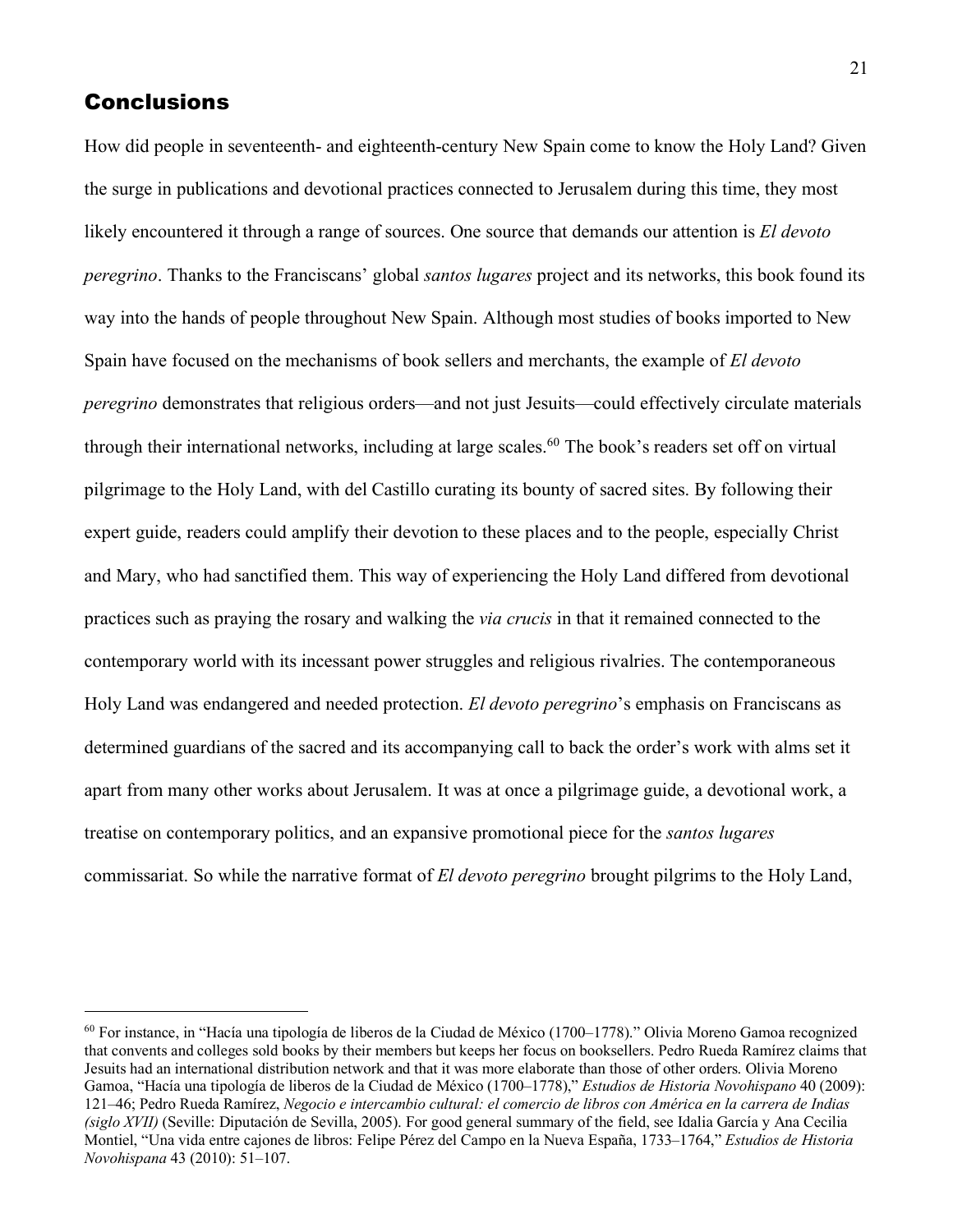## **Conclusions**

How did people in seventeenth- and eighteenth-century New Spain come to know the Holy Land? Given the surge in publications and devotional practices connected to Jerusalem during this time, they most likely encountered it through a range of sources. One source that demands our attention is *El devoto peregrino*. Thanks to the Franciscans' global *santos lugares* project and its networks, this book found its way into the hands of people throughout New Spain. Although most studies of books imported to New Spain have focused on the mechanisms of book sellers and merchants, the example of *El devoto peregrino* demonstrates that religious orders—and not just Jesuits—could effectively circulate materials through their international networks, including at large scales.<sup>60</sup> The book's readers set off on virtual pilgrimage to the Holy Land, with del Castillo curating its bounty of sacred sites. By following their expert guide, readers could amplify their devotion to these places and to the people, especially Christ and Mary, who had sanctified them. This way of experiencing the Holy Land differed from devotional practices such as praying the rosary and walking the *via crucis* in that it remained connected to the contemporary world with its incessant power struggles and religious rivalries. The contemporaneous Holy Land was endangered and needed protection. *El devoto peregrino*'s emphasis on Franciscans as determined guardians of the sacred and its accompanying call to back the order's work with alms set it apart from many other works about Jerusalem. It was at once a pilgrimage guide, a devotional work, a treatise on contemporary politics, and an expansive promotional piece for the *santos lugares* commissariat. So while the narrative format of *El devoto peregrino* brought pilgrims to the Holy Land,

 $60$  For instance, in "Hacía una tipología de liberos de la Ciudad de México (1700–1778)." Olivia Moreno Gamoa recognized that convents and colleges sold books by their members but keeps her focus on booksellers. Pedro Rueda Ramírez claims that Jesuits had an international distribution network and that it was more elaborate than those of other orders. Olivia Moreno Gamoa, "Hacía una tipología de liberos de la Ciudad de México (1700–1778)," *Estudios de Historia Novohispano* 40 (2009): 121–46; Pedro Rueda Ramírez, *Negocio e intercambio cultural: el comercio de libros con América en la carrera de Indias (siglo XVII)* (Seville: Diputación de Sevilla, 2005). For good general summary of the field, see Idalia García y Ana Cecilia Montiel, "Una vida entre cajones de libros: Felipe Pérez del Campo en la Nueva España, 1733–1764," *Estudios de Historia Novohispana* 43 (2010): 51–107.